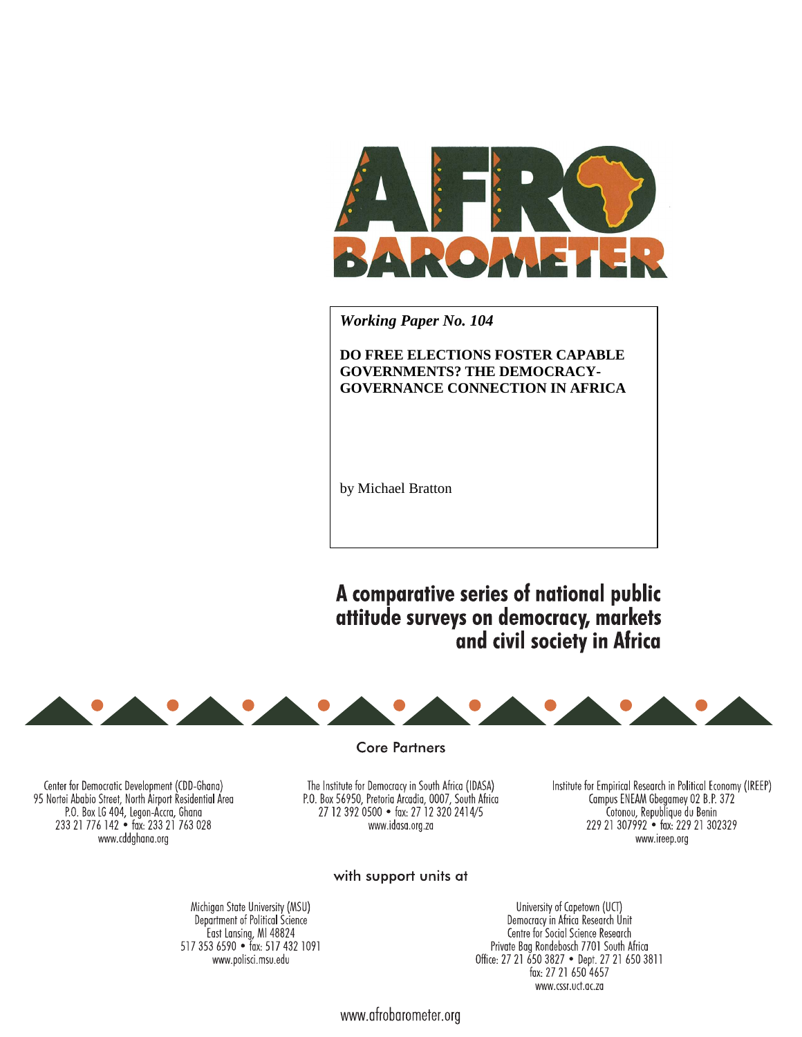

*Working Paper No. 104* 

# **DO FREE ELECTIONS FOSTER CAPABLE GOVERNMENTS? THE DEMOCRACY-GOVERNANCE CONNECTION IN AFRICA**

by Michael Bratton

A comparative series of national public attitude surveys on democracy, markets and civil society in Africa



**Core Partners** 

Center for Democratic Development (CDD-Ghana) 95 Nortei Ababio Street, North Airport Residential Area P.O. Box LG 404, Legon-Accra, Ghana 233 21 776 142 · fax: 233 21 763 028 www.cddghana.org

The Institute for Democracy in South Africa (IDASA) P.O. Box 56950, Pretoria Arcadia, 0007, South Africa 27 12 392 0500 · fax: 27 12 320 2414/5 www.idasa.org.za

Institute for Empirical Research in Political Economy (IREEP) Campus ENEAM Gbegamey 02 B.P. 372 Cotonou, Republique du Benin 229 21 307992 · fax: 229 21 302329 www.ireep.org

## with support units at

Michigan State University (MSU) Department of Political Science East Lansing, MI 48824<br>517 353 6590 • fax: 517 432 1091 www.polisci.msu.edu

University of Capetown (UCT) Democracy in Africa Research Unit Centre for Social Science Research Private Bag Rondebosch 7701 South Africa Office: 27 21 650 3827 • Dept. 27 21 650 3811 fax: 27 21 650 4657 www.cssr.uct.ac.za

www.afrobarometer.org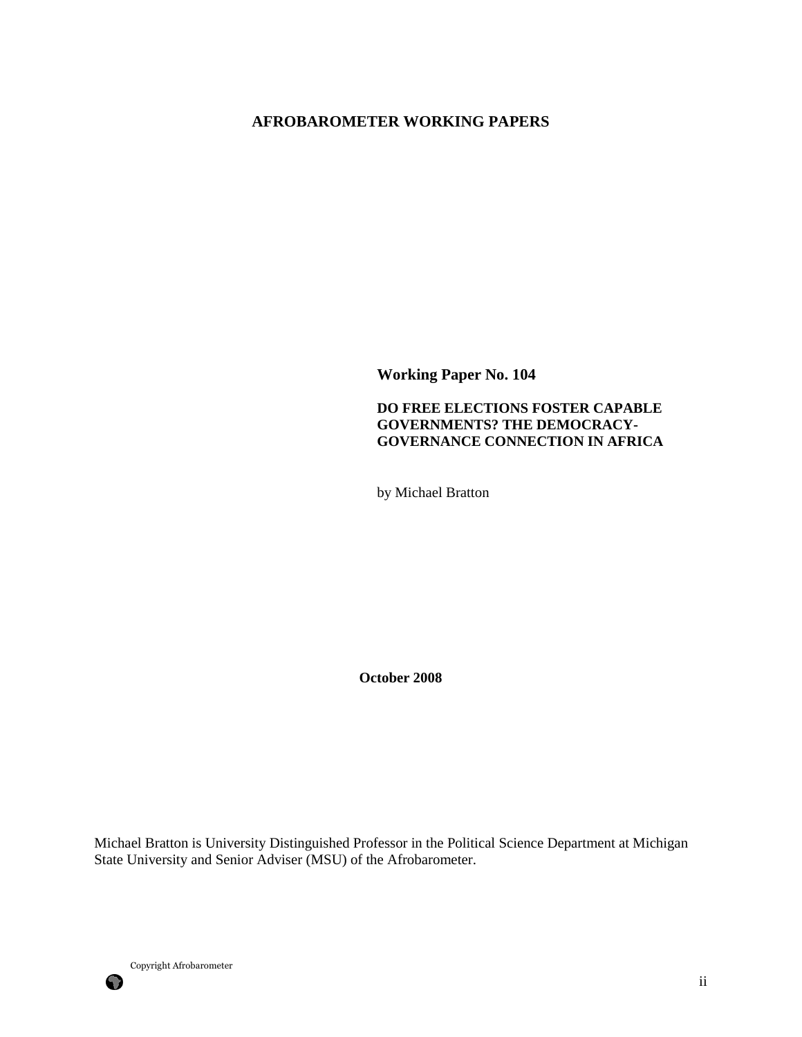# **AFROBAROMETER WORKING PAPERS**

**Working Paper No. 104** 

# **DO FREE ELECTIONS FOSTER CAPABLE GOVERNMENTS? THE DEMOCRACY-GOVERNANCE CONNECTION IN AFRICA**

by Michael Bratton

**October 2008** 

Michael Bratton is University Distinguished Professor in the Political Science Department at Michigan State University and Senior Adviser (MSU) of the Afrobarometer.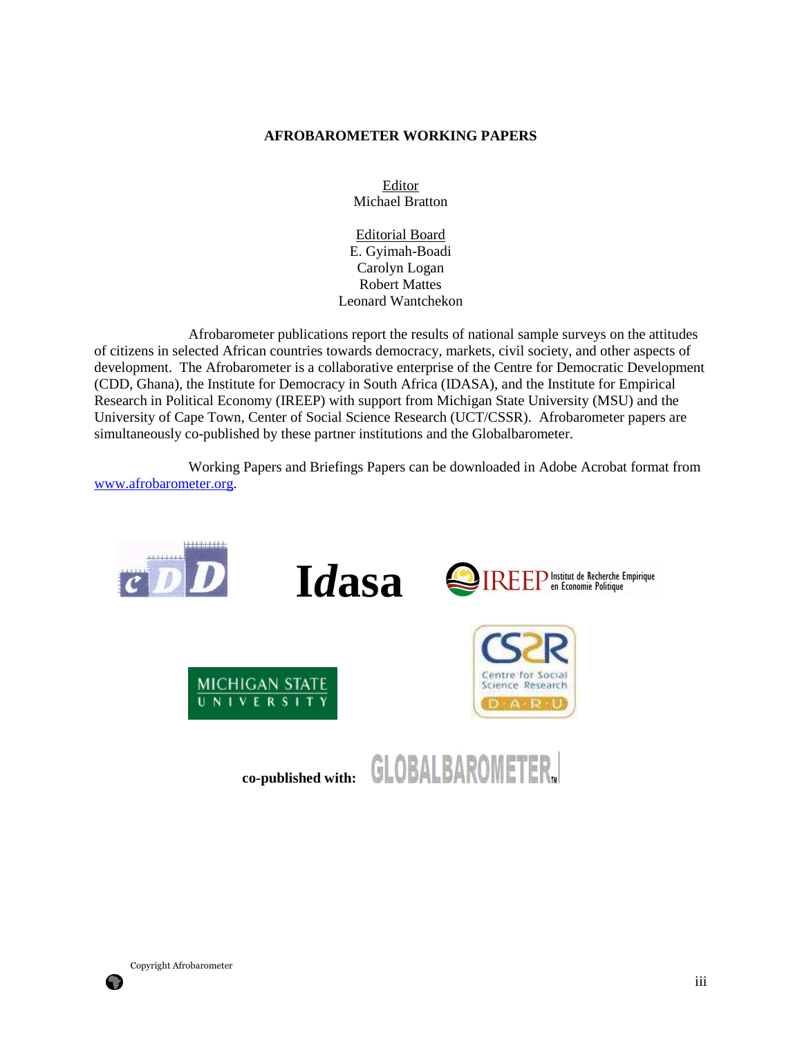#### **AFROBAROMETER WORKING PAPERS**

Editor Michael Bratton

Editorial Board E. Gyimah-Boadi Carolyn Logan Robert Mattes Leonard Wantchekon

 Afrobarometer publications report the results of national sample surveys on the attitudes of citizens in selected African countries towards democracy, markets, civil society, and other aspects of development. The Afrobarometer is a collaborative enterprise of the Centre for Democratic Development (CDD, Ghana), the Institute for Democracy in South Africa (IDASA), and the Institute for Empirical Research in Political Economy (IREEP) with support from Michigan State University (MSU) and the University of Cape Town, Center of Social Science Research (UCT/CSSR). Afrobarometer papers are simultaneously co-published by these partner institutions and the Globalbarometer.

 Working Papers and Briefings Papers can be downloaded in Adobe Acrobat format from www.afrobarometer.org.

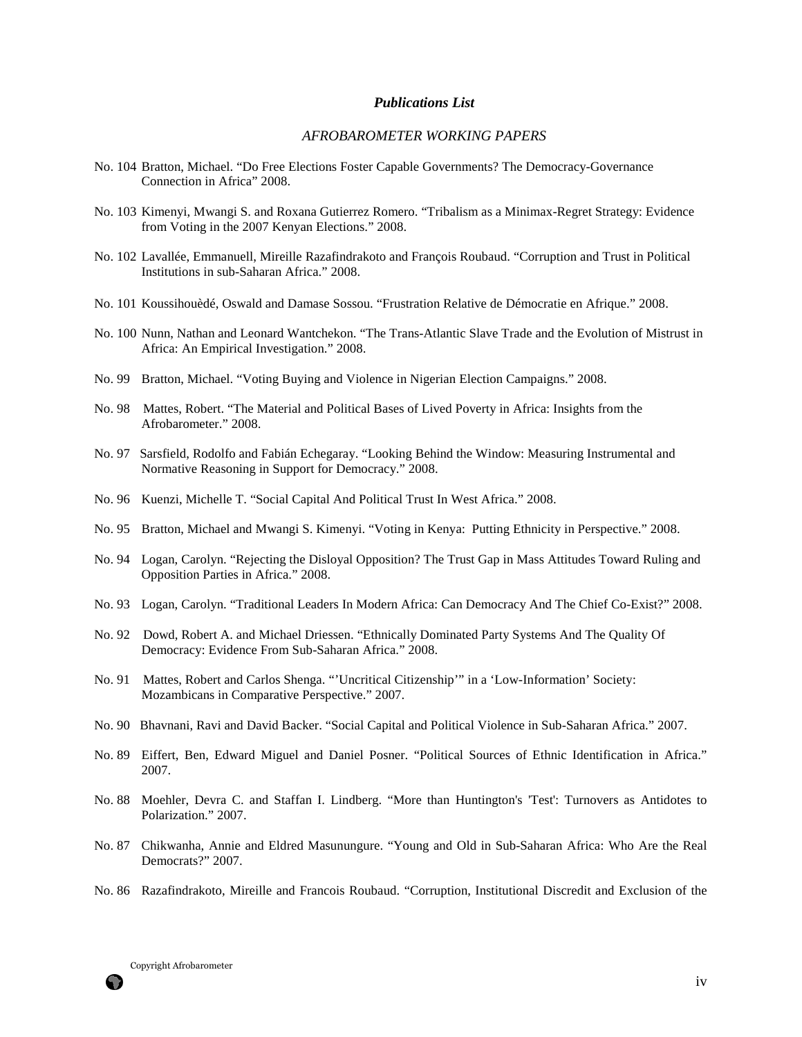#### *Publications List*

### *AFROBAROMETER WORKING PAPERS*

- No. 104 Bratton, Michael. "Do Free Elections Foster Capable Governments? The Democracy-Governance Connection in Africa" 2008.
- No. 103 Kimenyi, Mwangi S. and Roxana Gutierrez Romero. "Tribalism as a Minimax-Regret Strategy: Evidence from Voting in the 2007 Kenyan Elections." 2008.
- No. 102 Lavallée, Emmanuell, Mireille Razafindrakoto and François Roubaud. "Corruption and Trust in Political Institutions in sub-Saharan Africa." 2008.
- No. 101 Koussihouèdé, Oswald and Damase Sossou. "Frustration Relative de Démocratie en Afrique." 2008.
- No. 100 Nunn, Nathan and Leonard Wantchekon. "The Trans-Atlantic Slave Trade and the Evolution of Mistrust in Africa: An Empirical Investigation." 2008.
- No. 99 Bratton, Michael. "Voting Buying and Violence in Nigerian Election Campaigns." 2008.
- No. 98 Mattes, Robert. "The Material and Political Bases of Lived Poverty in Africa: Insights from the Afrobarometer." 2008.
- No. 97 Sarsfield, Rodolfo and Fabián Echegaray. "Looking Behind the Window: Measuring Instrumental and Normative Reasoning in Support for Democracy." 2008.
- No. 96 Kuenzi, Michelle T. "Social Capital And Political Trust In West Africa." 2008.
- No. 95 Bratton, Michael and Mwangi S. Kimenyi. "Voting in Kenya: Putting Ethnicity in Perspective." 2008.
- No. 94 Logan, Carolyn. "Rejecting the Disloyal Opposition? The Trust Gap in Mass Attitudes Toward Ruling and Opposition Parties in Africa." 2008.
- No. 93 Logan, Carolyn. "Traditional Leaders In Modern Africa: Can Democracy And The Chief Co-Exist?" 2008.
- No. 92 Dowd, Robert A. and Michael Driessen. "Ethnically Dominated Party Systems And The Quality Of Democracy: Evidence From Sub-Saharan Africa." 2008.
- No. 91 Mattes, Robert and Carlos Shenga. "'Uncritical Citizenship'" in a 'Low-Information' Society: Mozambicans in Comparative Perspective." 2007.
- No. 90 Bhavnani, Ravi and David Backer. "Social Capital and Political Violence in Sub-Saharan Africa." 2007.
- No. 89 Eiffert, Ben, Edward Miguel and Daniel Posner. "Political Sources of Ethnic Identification in Africa." 2007.
- No. 88 Moehler, Devra C. and Staffan I. Lindberg. "More than Huntington's 'Test': Turnovers as Antidotes to Polarization." 2007.
- No. 87 Chikwanha, Annie and Eldred Masunungure. "Young and Old in Sub-Saharan Africa: Who Are the Real Democrats?" 2007.
- No. 86 Razafindrakoto, Mireille and Francois Roubaud. "Corruption, Institutional Discredit and Exclusion of the

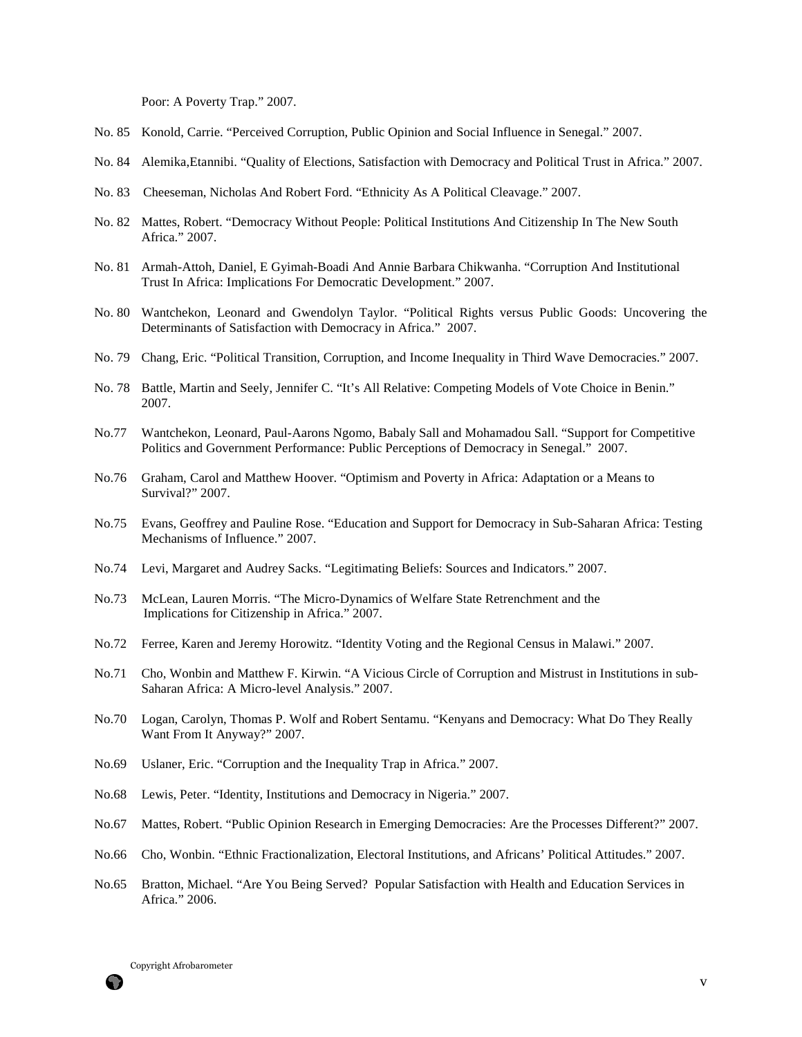Poor: A Poverty Trap." 2007.

- No. 85 Konold, Carrie. "Perceived Corruption, Public Opinion and Social Influence in Senegal." 2007.
- No. 84 Alemika,Etannibi. "Quality of Elections, Satisfaction with Democracy and Political Trust in Africa." 2007.
- No. 83 Cheeseman, Nicholas And Robert Ford. "Ethnicity As A Political Cleavage." 2007.
- No. 82 Mattes, Robert. "Democracy Without People: Political Institutions And Citizenship In The New South Africa." 2007.
- No. 81 Armah-Attoh, Daniel, E Gyimah-Boadi And Annie Barbara Chikwanha. "Corruption And Institutional Trust In Africa: Implications For Democratic Development." 2007.
- No. 80 Wantchekon, Leonard and Gwendolyn Taylor. "Political Rights versus Public Goods: Uncovering the Determinants of Satisfaction with Democracy in Africa." 2007.
- No. 79 Chang, Eric. "Political Transition, Corruption, and Income Inequality in Third Wave Democracies." 2007.
- No. 78 Battle, Martin and Seely, Jennifer C. "It's All Relative: Competing Models of Vote Choice in Benin." 2007.
- No.77 Wantchekon, Leonard, Paul-Aarons Ngomo, Babaly Sall and Mohamadou Sall. "Support for Competitive Politics and Government Performance: Public Perceptions of Democracy in Senegal." 2007.
- No.76 Graham, Carol and Matthew Hoover. "Optimism and Poverty in Africa: Adaptation or a Means to Survival?" 2007.
- No.75 Evans, Geoffrey and Pauline Rose. "Education and Support for Democracy in Sub-Saharan Africa: Testing Mechanisms of Influence." 2007.
- No.74 Levi, Margaret and Audrey Sacks. "Legitimating Beliefs: Sources and Indicators." 2007.
- No.73 McLean, Lauren Morris. "The Micro-Dynamics of Welfare State Retrenchment and the Implications for Citizenship in Africa." 2007.
- No.72 Ferree, Karen and Jeremy Horowitz. "Identity Voting and the Regional Census in Malawi." 2007.
- No.71 Cho, Wonbin and Matthew F. Kirwin. "A Vicious Circle of Corruption and Mistrust in Institutions in sub-Saharan Africa: A Micro-level Analysis." 2007.
- No.70 Logan, Carolyn, Thomas P. Wolf and Robert Sentamu. "Kenyans and Democracy: What Do They Really Want From It Anyway?" 2007.
- No.69 Uslaner, Eric. "Corruption and the Inequality Trap in Africa." 2007.
- No.68 Lewis, Peter. "Identity, Institutions and Democracy in Nigeria." 2007.
- No.67 Mattes, Robert. "Public Opinion Research in Emerging Democracies: Are the Processes Different?" 2007.
- No.66 Cho, Wonbin. "Ethnic Fractionalization, Electoral Institutions, and Africans' Political Attitudes." 2007.
- No.65 Bratton, Michael. "Are You Being Served? Popular Satisfaction with Health and Education Services in Africa." 2006.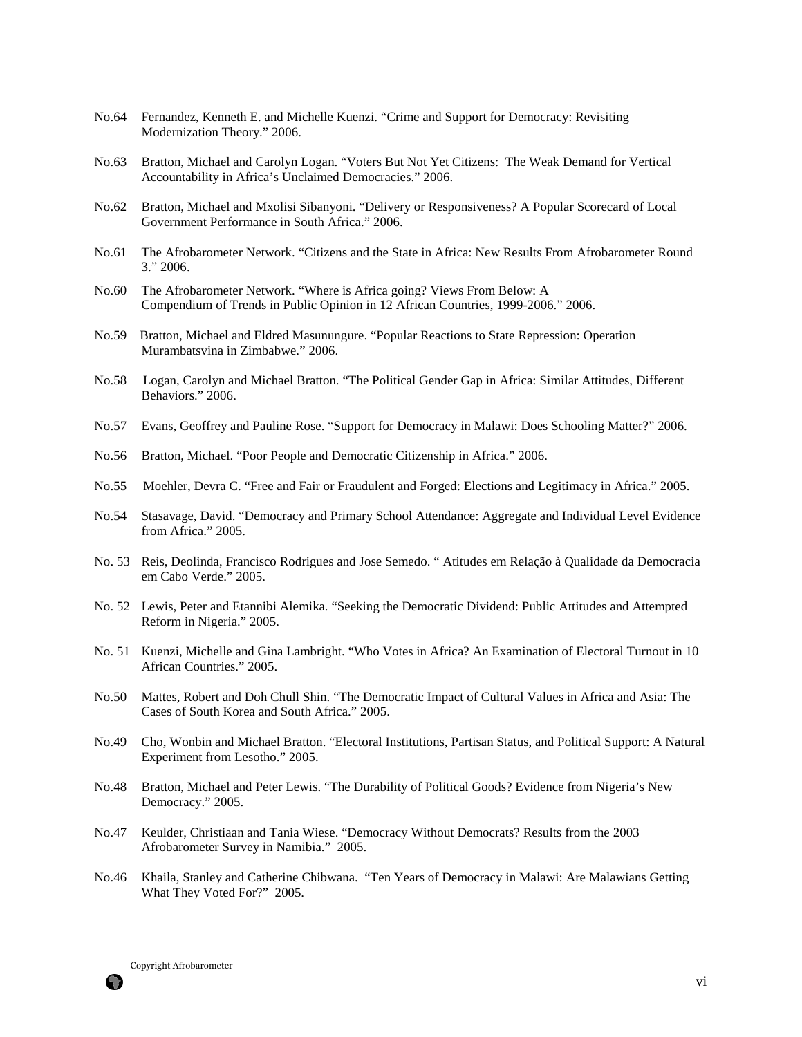- No.64 Fernandez, Kenneth E. and Michelle Kuenzi. "Crime and Support for Democracy: Revisiting Modernization Theory." 2006.
- No.63 Bratton, Michael and Carolyn Logan. "Voters But Not Yet Citizens: The Weak Demand for Vertical Accountability in Africa's Unclaimed Democracies." 2006.
- No.62 Bratton, Michael and Mxolisi Sibanyoni. "Delivery or Responsiveness? A Popular Scorecard of Local Government Performance in South Africa." 2006.
- No.61 The Afrobarometer Network. "Citizens and the State in Africa: New Results From Afrobarometer Round 3." 2006.
- No.60 The Afrobarometer Network. "Where is Africa going? Views From Below: A Compendium of Trends in Public Opinion in 12 African Countries, 1999-2006." 2006.
- No.59 Bratton, Michael and Eldred Masunungure. "Popular Reactions to State Repression: Operation Murambatsvina in Zimbabwe." 2006.
- No.58 Logan, Carolyn and Michael Bratton. "The Political Gender Gap in Africa: Similar Attitudes, Different Behaviors." 2006.
- No.57 Evans, Geoffrey and Pauline Rose. "Support for Democracy in Malawi: Does Schooling Matter?" 2006.
- No.56 Bratton, Michael. "Poor People and Democratic Citizenship in Africa." 2006.
- No.55 Moehler, Devra C. "Free and Fair or Fraudulent and Forged: Elections and Legitimacy in Africa." 2005.
- No.54 Stasavage, David. "Democracy and Primary School Attendance: Aggregate and Individual Level Evidence from Africa." 2005.
- No. 53 Reis, Deolinda, Francisco Rodrigues and Jose Semedo. " Atitudes em Relação à Qualidade da Democracia em Cabo Verde." 2005.
- No. 52 Lewis, Peter and Etannibi Alemika. "Seeking the Democratic Dividend: Public Attitudes and Attempted Reform in Nigeria." 2005.
- No. 51 Kuenzi, Michelle and Gina Lambright. "Who Votes in Africa? An Examination of Electoral Turnout in 10 African Countries." 2005.
- No.50 Mattes, Robert and Doh Chull Shin. "The Democratic Impact of Cultural Values in Africa and Asia: The Cases of South Korea and South Africa." 2005.
- No.49 Cho, Wonbin and Michael Bratton. "Electoral Institutions, Partisan Status, and Political Support: A Natural Experiment from Lesotho." 2005.
- No.48 Bratton, Michael and Peter Lewis. "The Durability of Political Goods? Evidence from Nigeria's New Democracy." 2005.
- No.47 Keulder, Christiaan and Tania Wiese. "Democracy Without Democrats? Results from the 2003 Afrobarometer Survey in Namibia." 2005.
- No.46 Khaila, Stanley and Catherine Chibwana. "Ten Years of Democracy in Malawi: Are Malawians Getting What They Voted For?" 2005.

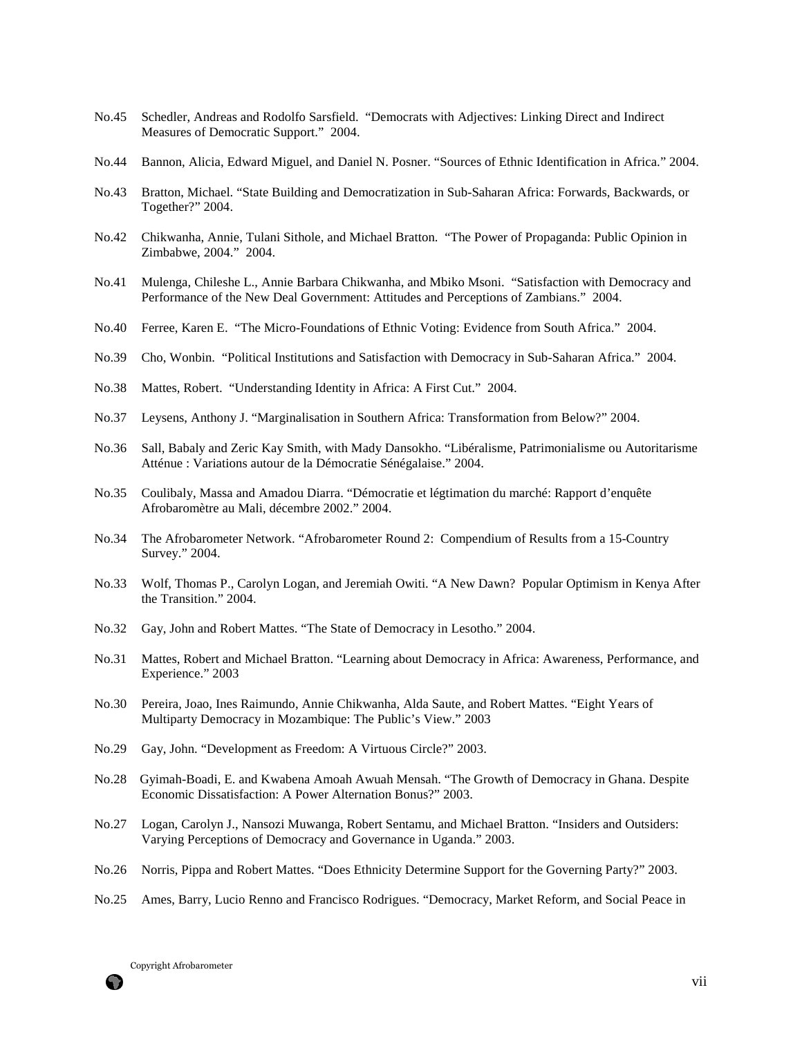- No.45 Schedler, Andreas and Rodolfo Sarsfield. "Democrats with Adjectives: Linking Direct and Indirect Measures of Democratic Support." 2004.
- No.44 Bannon, Alicia, Edward Miguel, and Daniel N. Posner. "Sources of Ethnic Identification in Africa." 2004.
- No.43 Bratton, Michael. "State Building and Democratization in Sub-Saharan Africa: Forwards, Backwards, or Together?" 2004.
- No.42 Chikwanha, Annie, Tulani Sithole, and Michael Bratton. "The Power of Propaganda: Public Opinion in Zimbabwe, 2004." 2004.
- No.41 Mulenga, Chileshe L., Annie Barbara Chikwanha, and Mbiko Msoni. "Satisfaction with Democracy and Performance of the New Deal Government: Attitudes and Perceptions of Zambians." 2004.
- No.40 Ferree, Karen E. "The Micro-Foundations of Ethnic Voting: Evidence from South Africa." 2004.
- No.39 Cho, Wonbin. "Political Institutions and Satisfaction with Democracy in Sub-Saharan Africa." 2004.
- No.38 Mattes, Robert. "Understanding Identity in Africa: A First Cut." 2004.
- No.37 Leysens, Anthony J. "Marginalisation in Southern Africa: Transformation from Below?" 2004.
- No.36 Sall, Babaly and Zeric Kay Smith, with Mady Dansokho. "Libéralisme, Patrimonialisme ou Autoritarisme Atténue : Variations autour de la Démocratie Sénégalaise." 2004.
- No.35 Coulibaly, Massa and Amadou Diarra. "Démocratie et légtimation du marché: Rapport d'enquête Afrobaromètre au Mali, décembre 2002." 2004.
- No.34 The Afrobarometer Network. "Afrobarometer Round 2: Compendium of Results from a 15-Country Survey." 2004.
- No.33 Wolf, Thomas P., Carolyn Logan, and Jeremiah Owiti. "A New Dawn? Popular Optimism in Kenya After the Transition." 2004.
- No.32 Gay, John and Robert Mattes. "The State of Democracy in Lesotho." 2004.
- No.31 Mattes, Robert and Michael Bratton. "Learning about Democracy in Africa: Awareness, Performance, and Experience." 2003
- No.30 Pereira, Joao, Ines Raimundo, Annie Chikwanha, Alda Saute, and Robert Mattes. "Eight Years of Multiparty Democracy in Mozambique: The Public's View." 2003
- No.29 Gay, John. "Development as Freedom: A Virtuous Circle?" 2003.
- No.28 Gyimah-Boadi, E. and Kwabena Amoah Awuah Mensah. "The Growth of Democracy in Ghana. Despite Economic Dissatisfaction: A Power Alternation Bonus?" 2003.
- No.27 Logan, Carolyn J., Nansozi Muwanga, Robert Sentamu, and Michael Bratton. "Insiders and Outsiders: Varying Perceptions of Democracy and Governance in Uganda." 2003.
- No.26 Norris, Pippa and Robert Mattes. "Does Ethnicity Determine Support for the Governing Party?" 2003.
- No.25 Ames, Barry, Lucio Renno and Francisco Rodrigues. "Democracy, Market Reform, and Social Peace in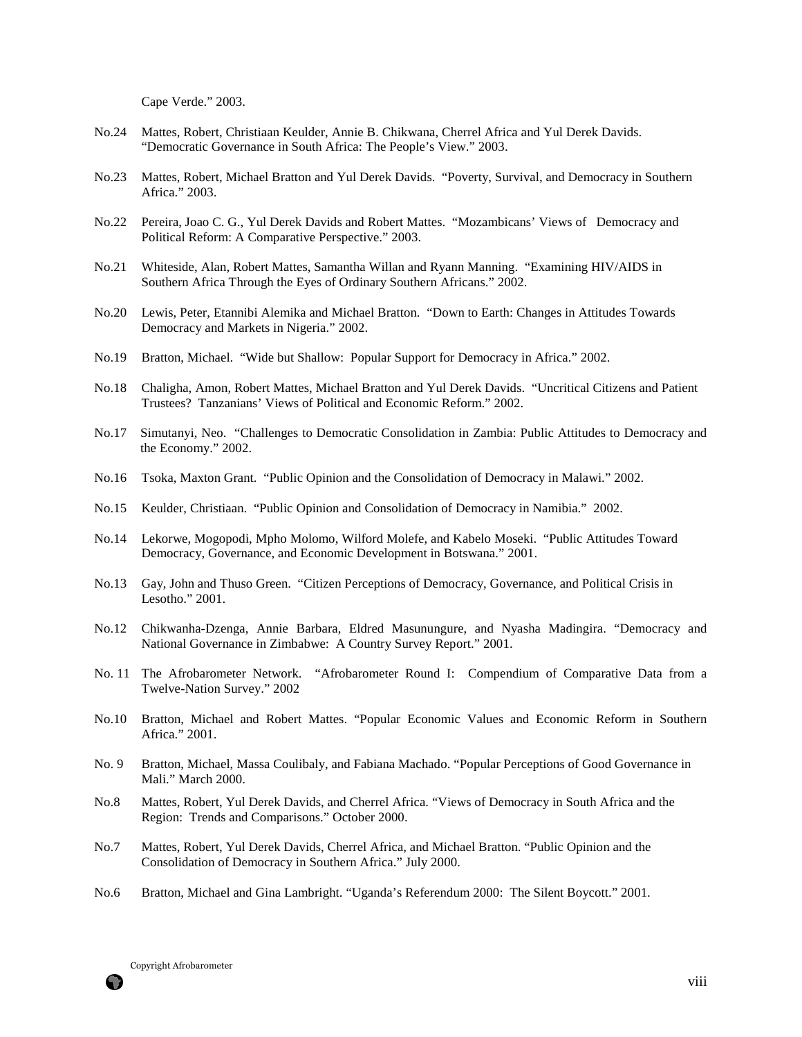Cape Verde." 2003.

- No.24 Mattes, Robert, Christiaan Keulder, Annie B. Chikwana, Cherrel Africa and Yul Derek Davids. "Democratic Governance in South Africa: The People's View." 2003.
- No.23 Mattes, Robert, Michael Bratton and Yul Derek Davids. "Poverty, Survival, and Democracy in Southern Africa." 2003.
- No.22 Pereira, Joao C. G., Yul Derek Davids and Robert Mattes. "Mozambicans' Views of Democracy and Political Reform: A Comparative Perspective." 2003.
- No.21 Whiteside, Alan, Robert Mattes, Samantha Willan and Ryann Manning. "Examining HIV/AIDS in Southern Africa Through the Eyes of Ordinary Southern Africans." 2002.
- No.20 Lewis, Peter, Etannibi Alemika and Michael Bratton. "Down to Earth: Changes in Attitudes Towards Democracy and Markets in Nigeria." 2002.
- No.19 Bratton, Michael. "Wide but Shallow: Popular Support for Democracy in Africa." 2002.
- No.18 Chaligha, Amon, Robert Mattes, Michael Bratton and Yul Derek Davids. "Uncritical Citizens and Patient Trustees? Tanzanians' Views of Political and Economic Reform." 2002.
- No.17 Simutanyi, Neo. "Challenges to Democratic Consolidation in Zambia: Public Attitudes to Democracy and the Economy." 2002.
- No.16 Tsoka, Maxton Grant. "Public Opinion and the Consolidation of Democracy in Malawi." 2002.
- No.15 Keulder, Christiaan. "Public Opinion and Consolidation of Democracy in Namibia." 2002.
- No.14 Lekorwe, Mogopodi, Mpho Molomo, Wilford Molefe, and Kabelo Moseki. "Public Attitudes Toward Democracy, Governance, and Economic Development in Botswana." 2001.
- No.13 Gay, John and Thuso Green. "Citizen Perceptions of Democracy, Governance, and Political Crisis in Lesotho." 2001.
- No.12 Chikwanha-Dzenga, Annie Barbara, Eldred Masunungure, and Nyasha Madingira. "Democracy and National Governance in Zimbabwe: A Country Survey Report." 2001.
- No. 11 The Afrobarometer Network. "Afrobarometer Round I: Compendium of Comparative Data from a Twelve-Nation Survey." 2002
- No.10 Bratton, Michael and Robert Mattes. "Popular Economic Values and Economic Reform in Southern Africa." 2001.
- No. 9 Bratton, Michael, Massa Coulibaly, and Fabiana Machado. "Popular Perceptions of Good Governance in Mali." March 2000.
- No.8 Mattes, Robert, Yul Derek Davids, and Cherrel Africa. "Views of Democracy in South Africa and the Region: Trends and Comparisons." October 2000.
- No.7 Mattes, Robert, Yul Derek Davids, Cherrel Africa, and Michael Bratton. "Public Opinion and the Consolidation of Democracy in Southern Africa." July 2000.
- No.6 Bratton, Michael and Gina Lambright. "Uganda's Referendum 2000: The Silent Boycott." 2001.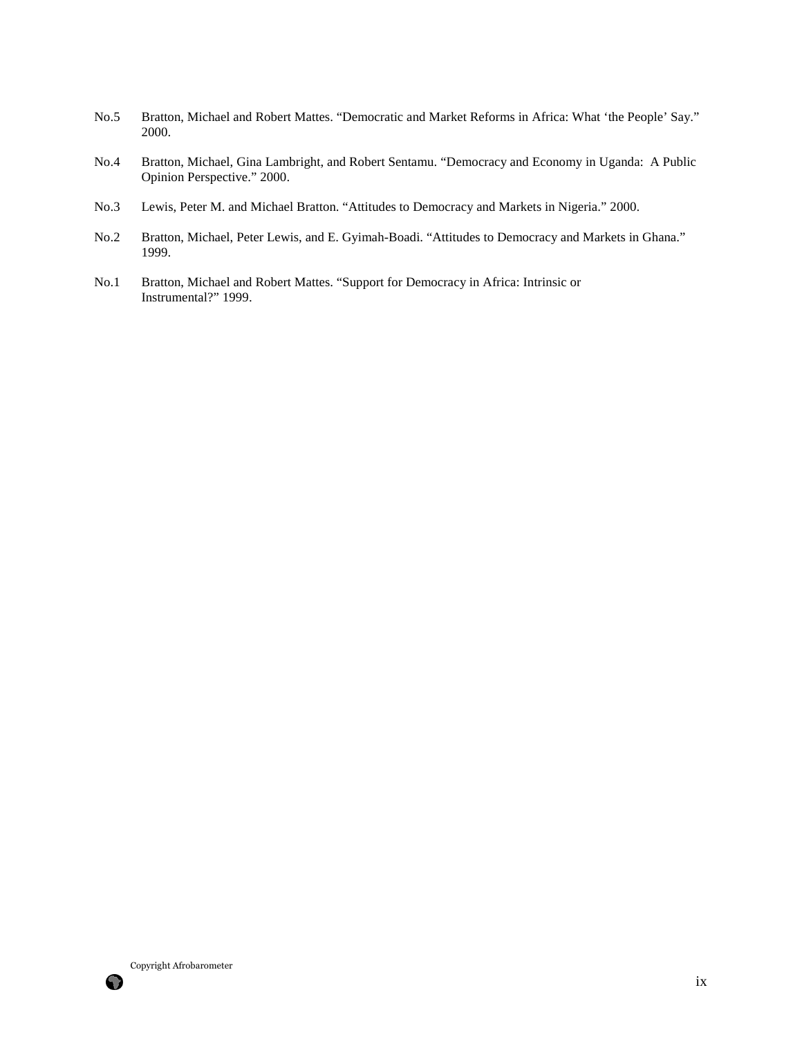- No.5 Bratton, Michael and Robert Mattes. "Democratic and Market Reforms in Africa: What 'the People' Say." 2000.
- No.4 Bratton, Michael, Gina Lambright, and Robert Sentamu. "Democracy and Economy in Uganda: A Public Opinion Perspective." 2000.
- No.3 Lewis, Peter M. and Michael Bratton. "Attitudes to Democracy and Markets in Nigeria." 2000.
- No.2 Bratton, Michael, Peter Lewis, and E. Gyimah-Boadi. "Attitudes to Democracy and Markets in Ghana." 1999.
- No.1 Bratton, Michael and Robert Mattes. "Support for Democracy in Africa: Intrinsic or Instrumental?" 1999.

Copyright Afrobarometer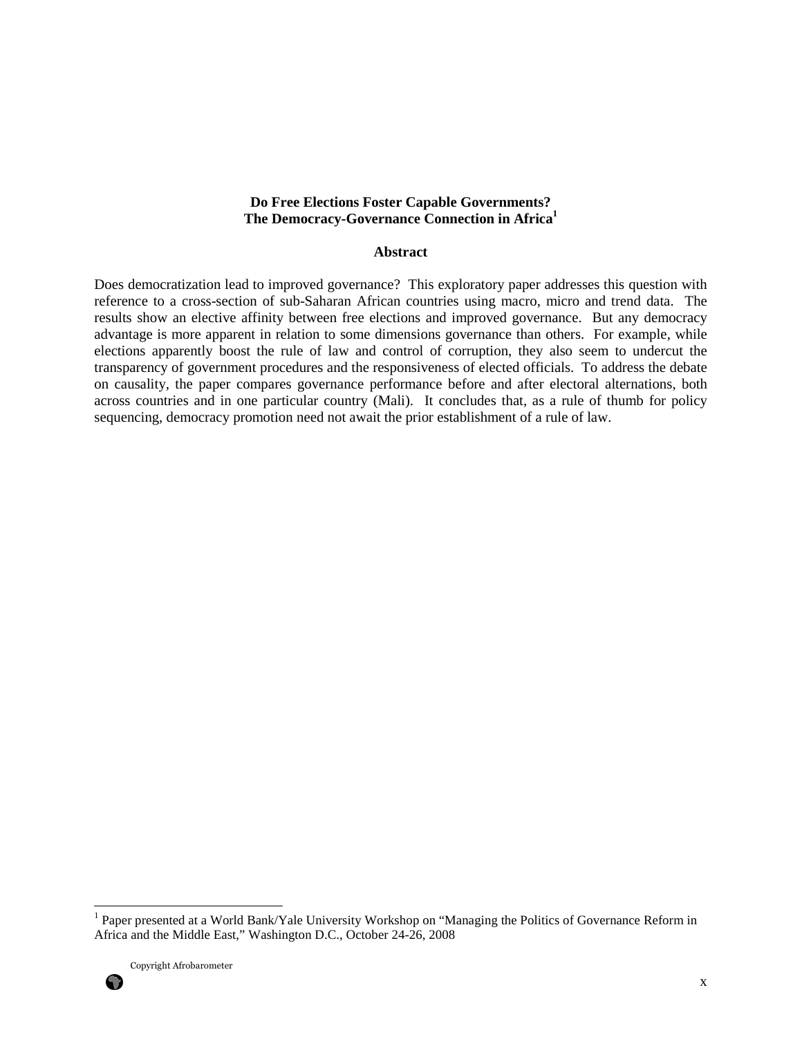## **Do Free Elections Foster Capable Governments? The Democracy-Governance Connection in Africa<sup>1</sup>**

#### **Abstract**

Does democratization lead to improved governance? This exploratory paper addresses this question with reference to a cross-section of sub-Saharan African countries using macro, micro and trend data. The results show an elective affinity between free elections and improved governance. But any democracy advantage is more apparent in relation to some dimensions governance than others. For example, while elections apparently boost the rule of law and control of corruption, they also seem to undercut the transparency of government procedures and the responsiveness of elected officials. To address the debate on causality, the paper compares governance performance before and after electoral alternations, both across countries and in one particular country (Mali). It concludes that, as a rule of thumb for policy sequencing, democracy promotion need not await the prior establishment of a rule of law.



<sup>1&</sup>lt;br><sup>1</sup> Paper presented at a World Bank/Yale University Workshop on "Managing the Politics of Governance Reform in Africa and the Middle East," Washington D.C., October 24-26, 2008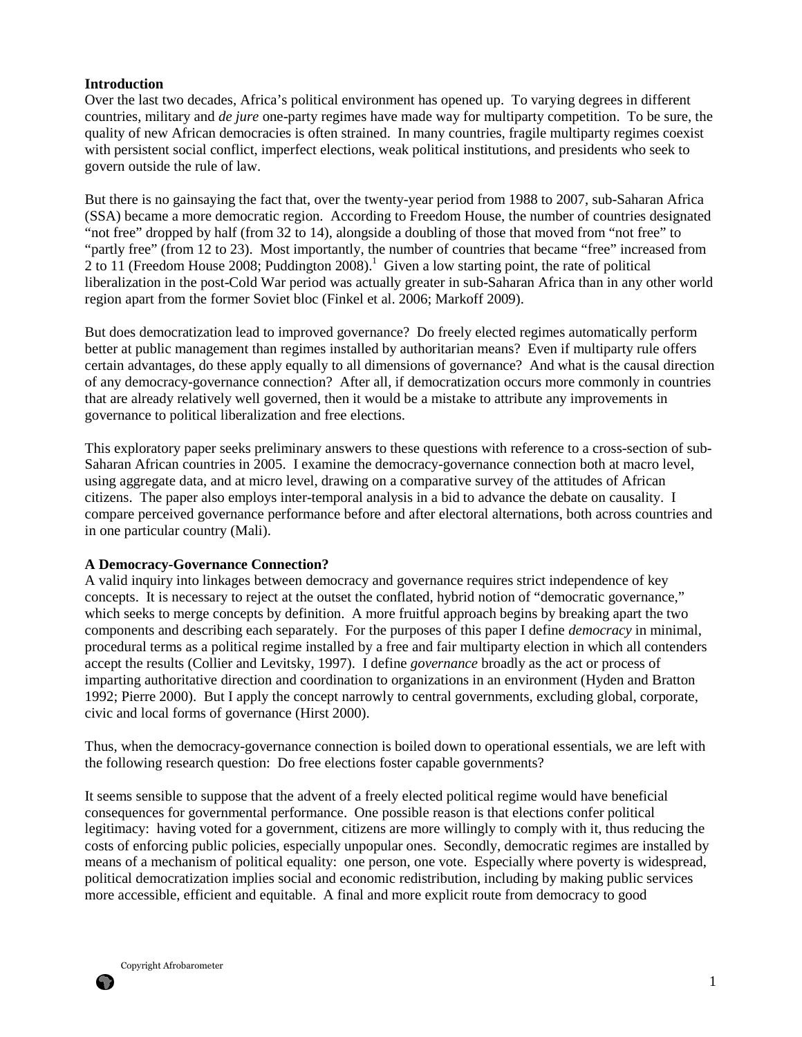## **Introduction**

Over the last two decades, Africa's political environment has opened up. To varying degrees in different countries, military and *de jure* one-party regimes have made way for multiparty competition. To be sure, the quality of new African democracies is often strained. In many countries, fragile multiparty regimes coexist with persistent social conflict, imperfect elections, weak political institutions, and presidents who seek to govern outside the rule of law.

But there is no gainsaying the fact that, over the twenty-year period from 1988 to 2007, sub-Saharan Africa (SSA) became a more democratic region. According to Freedom House, the number of countries designated "not free" dropped by half (from 32 to 14), alongside a doubling of those that moved from "not free" to "partly free" (from 12 to 23). Most importantly, the number of countries that became "free" increased from 2 to 11 (Freedom House 2008; Puddington 2008).<sup>1</sup> Given a low starting point, the rate of political liberalization in the post-Cold War period was actually greater in sub-Saharan Africa than in any other world region apart from the former Soviet bloc (Finkel et al. 2006; Markoff 2009).

But does democratization lead to improved governance? Do freely elected regimes automatically perform better at public management than regimes installed by authoritarian means? Even if multiparty rule offers certain advantages, do these apply equally to all dimensions of governance? And what is the causal direction of any democracy-governance connection? After all, if democratization occurs more commonly in countries that are already relatively well governed, then it would be a mistake to attribute any improvements in governance to political liberalization and free elections.

This exploratory paper seeks preliminary answers to these questions with reference to a cross-section of sub-Saharan African countries in 2005. I examine the democracy-governance connection both at macro level, using aggregate data, and at micro level, drawing on a comparative survey of the attitudes of African citizens. The paper also employs inter-temporal analysis in a bid to advance the debate on causality. I compare perceived governance performance before and after electoral alternations, both across countries and in one particular country (Mali).

#### **A Democracy-Governance Connection?**

A valid inquiry into linkages between democracy and governance requires strict independence of key concepts. It is necessary to reject at the outset the conflated, hybrid notion of "democratic governance," which seeks to merge concepts by definition. A more fruitful approach begins by breaking apart the two components and describing each separately. For the purposes of this paper I define *democracy* in minimal, procedural terms as a political regime installed by a free and fair multiparty election in which all contenders accept the results (Collier and Levitsky, 1997). I define *governance* broadly as the act or process of imparting authoritative direction and coordination to organizations in an environment (Hyden and Bratton 1992; Pierre 2000). But I apply the concept narrowly to central governments, excluding global, corporate, civic and local forms of governance (Hirst 2000).

Thus, when the democracy-governance connection is boiled down to operational essentials, we are left with the following research question: Do free elections foster capable governments?

It seems sensible to suppose that the advent of a freely elected political regime would have beneficial consequences for governmental performance. One possible reason is that elections confer political legitimacy: having voted for a government, citizens are more willingly to comply with it, thus reducing the costs of enforcing public policies, especially unpopular ones. Secondly, democratic regimes are installed by means of a mechanism of political equality: one person, one vote. Especially where poverty is widespread, political democratization implies social and economic redistribution, including by making public services more accessible, efficient and equitable. A final and more explicit route from democracy to good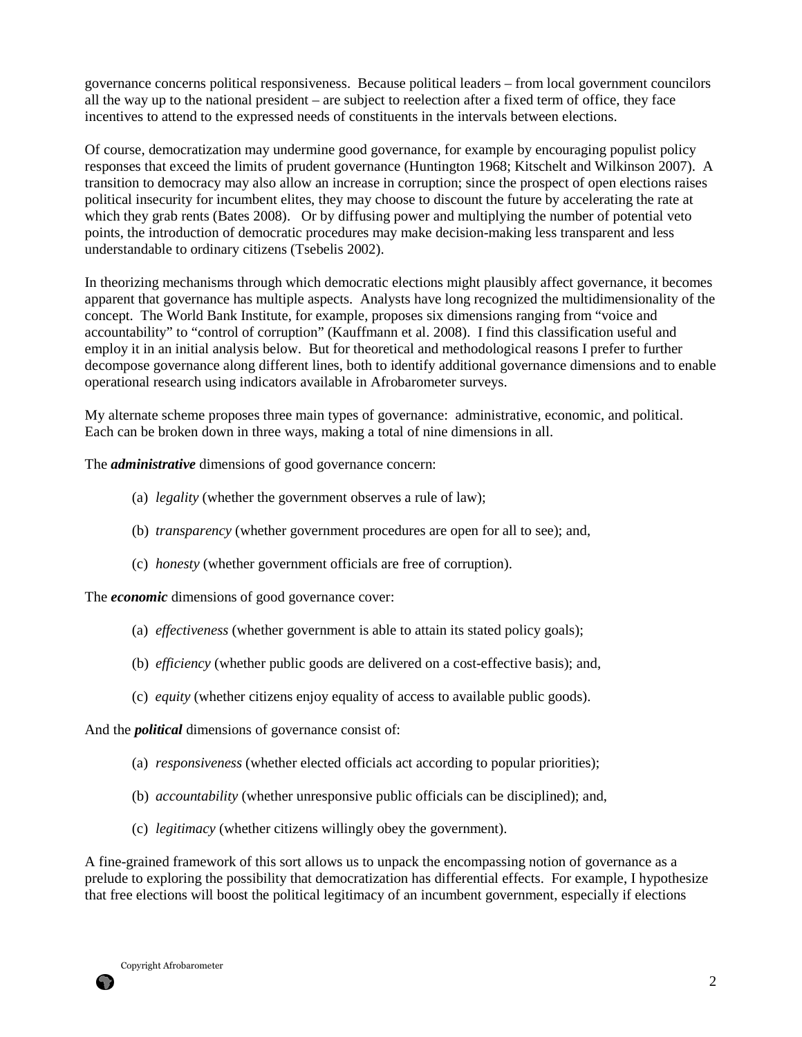governance concerns political responsiveness. Because political leaders – from local government councilors all the way up to the national president – are subject to reelection after a fixed term of office, they face incentives to attend to the expressed needs of constituents in the intervals between elections.

Of course, democratization may undermine good governance, for example by encouraging populist policy responses that exceed the limits of prudent governance (Huntington 1968; Kitschelt and Wilkinson 2007). A transition to democracy may also allow an increase in corruption; since the prospect of open elections raises political insecurity for incumbent elites, they may choose to discount the future by accelerating the rate at which they grab rents (Bates 2008). Or by diffusing power and multiplying the number of potential veto points, the introduction of democratic procedures may make decision-making less transparent and less understandable to ordinary citizens (Tsebelis 2002).

In theorizing mechanisms through which democratic elections might plausibly affect governance, it becomes apparent that governance has multiple aspects. Analysts have long recognized the multidimensionality of the concept. The World Bank Institute, for example, proposes six dimensions ranging from "voice and accountability" to "control of corruption" (Kauffmann et al. 2008). I find this classification useful and employ it in an initial analysis below. But for theoretical and methodological reasons I prefer to further decompose governance along different lines, both to identify additional governance dimensions and to enable operational research using indicators available in Afrobarometer surveys.

My alternate scheme proposes three main types of governance: administrative, economic, and political. Each can be broken down in three ways, making a total of nine dimensions in all.

The *administrative* dimensions of good governance concern:

- (a) *legality* (whether the government observes a rule of law);
- (b) *transparency* (whether government procedures are open for all to see); and,
- (c) *honesty* (whether government officials are free of corruption).

The *economic* dimensions of good governance cover:

- (a) *effectiveness* (whether government is able to attain its stated policy goals);
- (b) *efficiency* (whether public goods are delivered on a cost-effective basis); and,
- (c) *equity* (whether citizens enjoy equality of access to available public goods).

And the *political* dimensions of governance consist of:

- (a) *responsiveness* (whether elected officials act according to popular priorities);
- (b) *accountability* (whether unresponsive public officials can be disciplined); and,
- (c) *legitimacy* (whether citizens willingly obey the government).

A fine-grained framework of this sort allows us to unpack the encompassing notion of governance as a prelude to exploring the possibility that democratization has differential effects. For example, I hypothesize that free elections will boost the political legitimacy of an incumbent government, especially if elections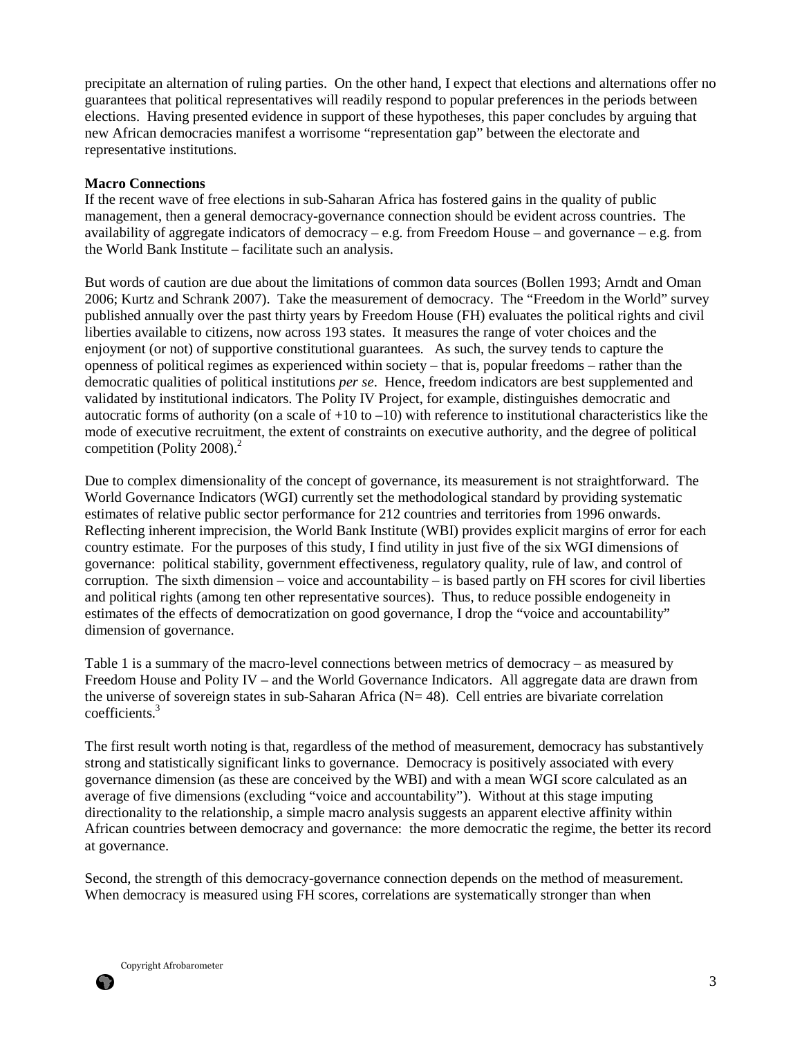precipitate an alternation of ruling parties. On the other hand, I expect that elections and alternations offer no guarantees that political representatives will readily respond to popular preferences in the periods between elections. Having presented evidence in support of these hypotheses, this paper concludes by arguing that new African democracies manifest a worrisome "representation gap" between the electorate and representative institutions.

### **Macro Connections**

If the recent wave of free elections in sub-Saharan Africa has fostered gains in the quality of public management, then a general democracy-governance connection should be evident across countries. The availability of aggregate indicators of democracy – e.g. from Freedom House – and governance – e.g. from the World Bank Institute – facilitate such an analysis.

But words of caution are due about the limitations of common data sources (Bollen 1993; Arndt and Oman 2006; Kurtz and Schrank 2007). Take the measurement of democracy. The "Freedom in the World" survey published annually over the past thirty years by Freedom House (FH) evaluates the political rights and civil liberties available to citizens, now across 193 states. It measures the range of voter choices and the enjoyment (or not) of supportive constitutional guarantees. As such, the survey tends to capture the openness of political regimes as experienced within society – that is, popular freedoms – rather than the democratic qualities of political institutions *per se*. Hence, freedom indicators are best supplemented and validated by institutional indicators. The Polity IV Project, for example, distinguishes democratic and autocratic forms of authority (on a scale of  $+10$  to  $-10$ ) with reference to institutional characteristics like the mode of executive recruitment, the extent of constraints on executive authority, and the degree of political competition (Polity 2008). $<sup>2</sup>$ </sup>

Due to complex dimensionality of the concept of governance, its measurement is not straightforward. The World Governance Indicators (WGI) currently set the methodological standard by providing systematic estimates of relative public sector performance for 212 countries and territories from 1996 onwards. Reflecting inherent imprecision, the World Bank Institute (WBI) provides explicit margins of error for each country estimate. For the purposes of this study, I find utility in just five of the six WGI dimensions of governance: political stability, government effectiveness, regulatory quality, rule of law, and control of corruption. The sixth dimension – voice and accountability – is based partly on FH scores for civil liberties and political rights (among ten other representative sources). Thus, to reduce possible endogeneity in estimates of the effects of democratization on good governance, I drop the "voice and accountability" dimension of governance.

Table 1 is a summary of the macro-level connections between metrics of democracy – as measured by Freedom House and Polity IV – and the World Governance Indicators. All aggregate data are drawn from the universe of sovereign states in sub-Saharan Africa ( $N= 48$ ). Cell entries are bivariate correlation coefficients.<sup>3</sup>

The first result worth noting is that, regardless of the method of measurement, democracy has substantively strong and statistically significant links to governance. Democracy is positively associated with every governance dimension (as these are conceived by the WBI) and with a mean WGI score calculated as an average of five dimensions (excluding "voice and accountability"). Without at this stage imputing directionality to the relationship, a simple macro analysis suggests an apparent elective affinity within African countries between democracy and governance: the more democratic the regime, the better its record at governance.

Second, the strength of this democracy-governance connection depends on the method of measurement. When democracy is measured using FH scores, correlations are systematically stronger than when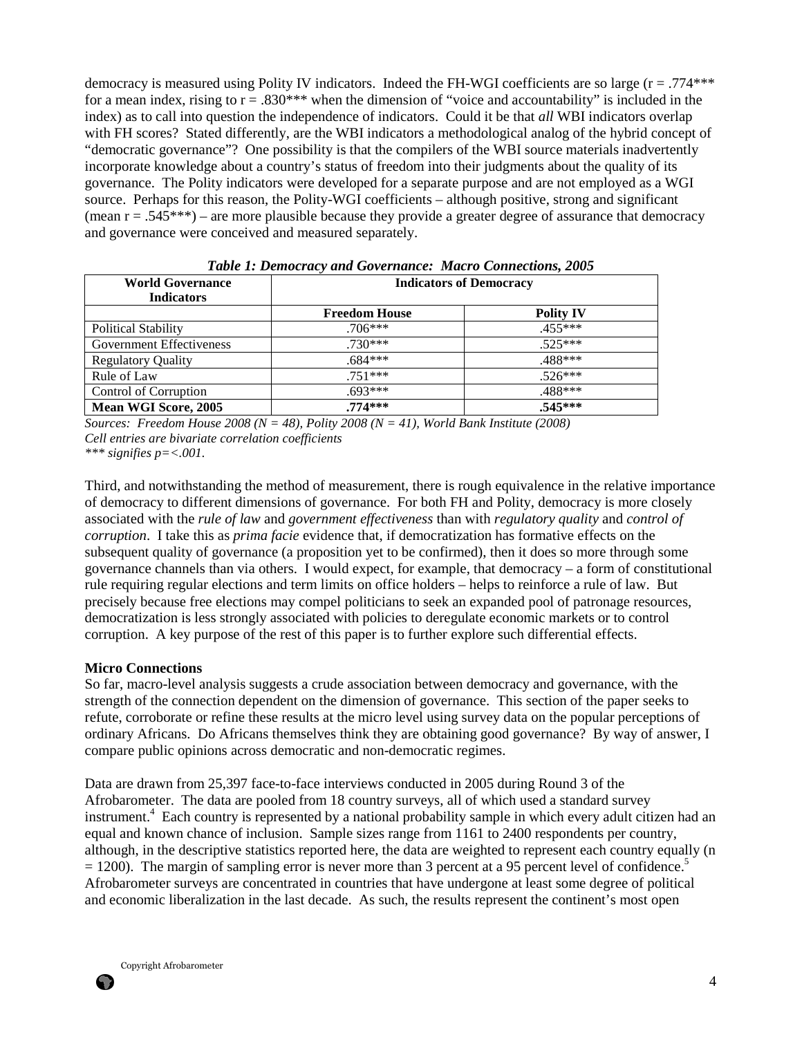democracy is measured using Polity IV indicators. Indeed the FH-WGI coefficients are so large (r = .774\*\*\* for a mean index, rising to  $r = 0.830***$  when the dimension of "voice and accountability" is included in the index) as to call into question the independence of indicators. Could it be that *all* WBI indicators overlap with FH scores? Stated differently, are the WBI indicators a methodological analog of the hybrid concept of "democratic governance"? One possibility is that the compilers of the WBI source materials inadvertently incorporate knowledge about a country's status of freedom into their judgments about the quality of its governance. The Polity indicators were developed for a separate purpose and are not employed as a WGI source. Perhaps for this reason, the Polity-WGI coefficients – although positive, strong and significant (mean  $r = .545***$ ) – are more plausible because they provide a greater degree of assurance that democracy and governance were conceived and measured separately.

| <b>World Governance</b><br><b>Indicators</b> | <b>Indicators of Democracy</b> |                  |  |
|----------------------------------------------|--------------------------------|------------------|--|
|                                              | <b>Freedom House</b>           | <b>Polity IV</b> |  |
| <b>Political Stability</b>                   | $.706***$                      | $.455***$        |  |
| Government Effectiveness                     | $.730***$                      | $.525***$        |  |
| <b>Regulatory Quality</b>                    | $.684***$                      | .488***          |  |
| Rule of Law                                  | $.751***$                      | $.526***$        |  |
| Control of Corruption                        | $.693***$                      | .488***          |  |
| Mean WGI Score, 2005                         | $.774***$                      | $.545***$        |  |

*Table 1: Democracy and Governance: Macro Connections, 2005* 

*Sources: Freedom House 2008 (N = 48), Polity 2008 (N = 41), World Bank Institute (2008) Cell entries are bivariate correlation coefficients*

*\*\*\* signifies p=<.001.* 

Third, and notwithstanding the method of measurement, there is rough equivalence in the relative importance of democracy to different dimensions of governance. For both FH and Polity, democracy is more closely associated with the *rule of law* and *government effectiveness* than with *regulatory quality* and *control of corruption*. I take this as *prima facie* evidence that, if democratization has formative effects on the subsequent quality of governance (a proposition yet to be confirmed), then it does so more through some governance channels than via others. I would expect, for example, that democracy – a form of constitutional rule requiring regular elections and term limits on office holders – helps to reinforce a rule of law. But precisely because free elections may compel politicians to seek an expanded pool of patronage resources, democratization is less strongly associated with policies to deregulate economic markets or to control corruption. A key purpose of the rest of this paper is to further explore such differential effects.

#### **Micro Connections**

So far, macro-level analysis suggests a crude association between democracy and governance, with the strength of the connection dependent on the dimension of governance. This section of the paper seeks to refute, corroborate or refine these results at the micro level using survey data on the popular perceptions of ordinary Africans. Do Africans themselves think they are obtaining good governance? By way of answer, I compare public opinions across democratic and non-democratic regimes.

Data are drawn from 25,397 face-to-face interviews conducted in 2005 during Round 3 of the Afrobarometer. The data are pooled from 18 country surveys, all of which used a standard survey instrument.<sup>4</sup> Each country is represented by a national probability sample in which every adult citizen had an equal and known chance of inclusion. Sample sizes range from 1161 to 2400 respondents per country, although, in the descriptive statistics reported here, the data are weighted to represent each country equally (n  $= 1200$ ). The margin of sampling error is never more than 3 percent at a 95 percent level of confidence.<sup>5</sup> Afrobarometer surveys are concentrated in countries that have undergone at least some degree of political and economic liberalization in the last decade. As such, the results represent the continent's most open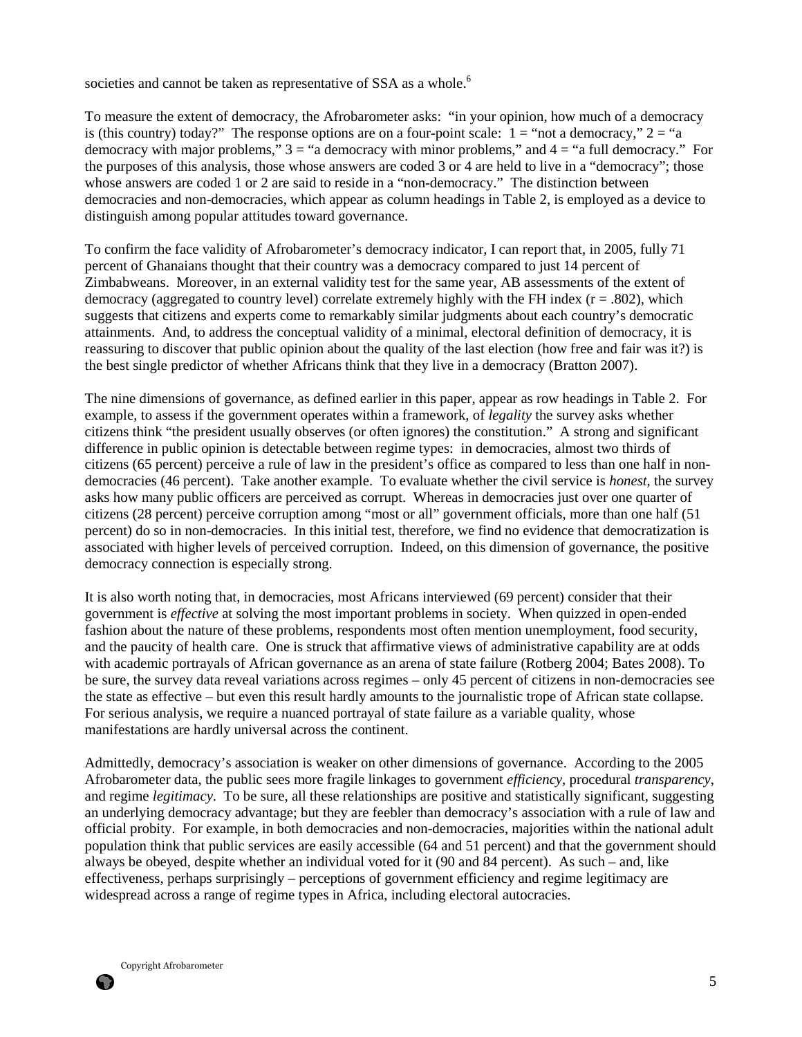societies and cannot be taken as representative of SSA as a whole.<sup>6</sup>

To measure the extent of democracy, the Afrobarometer asks: "in your opinion, how much of a democracy is (this country) today?" The response options are on a four-point scale:  $1 =$  "not a democracy,"  $2 =$  "a democracy with major problems,"  $3 =$  "a democracy with minor problems," and  $4 =$  "a full democracy." For the purposes of this analysis, those whose answers are coded 3 or 4 are held to live in a "democracy"; those whose answers are coded 1 or 2 are said to reside in a "non-democracy." The distinction between democracies and non-democracies, which appear as column headings in Table 2, is employed as a device to distinguish among popular attitudes toward governance.

To confirm the face validity of Afrobarometer's democracy indicator, I can report that, in 2005, fully 71 percent of Ghanaians thought that their country was a democracy compared to just 14 percent of Zimbabweans. Moreover, in an external validity test for the same year, AB assessments of the extent of democracy (aggregated to country level) correlate extremely highly with the FH index  $(r = .802)$ , which suggests that citizens and experts come to remarkably similar judgments about each country's democratic attainments. And, to address the conceptual validity of a minimal, electoral definition of democracy, it is reassuring to discover that public opinion about the quality of the last election (how free and fair was it?) is the best single predictor of whether Africans think that they live in a democracy (Bratton 2007).

The nine dimensions of governance, as defined earlier in this paper, appear as row headings in Table 2. For example, to assess if the government operates within a framework, of *legality* the survey asks whether citizens think "the president usually observes (or often ignores) the constitution." A strong and significant difference in public opinion is detectable between regime types: in democracies, almost two thirds of citizens (65 percent) perceive a rule of law in the president's office as compared to less than one half in nondemocracies (46 percent). Take another example. To evaluate whether the civil service is *honest*, the survey asks how many public officers are perceived as corrupt. Whereas in democracies just over one quarter of citizens (28 percent) perceive corruption among "most or all" government officials, more than one half (51 percent) do so in non-democracies. In this initial test, therefore, we find no evidence that democratization is associated with higher levels of perceived corruption. Indeed, on this dimension of governance, the positive democracy connection is especially strong.

It is also worth noting that, in democracies, most Africans interviewed (69 percent) consider that their government is *effective* at solving the most important problems in society. When quizzed in open-ended fashion about the nature of these problems, respondents most often mention unemployment, food security, and the paucity of health care. One is struck that affirmative views of administrative capability are at odds with academic portrayals of African governance as an arena of state failure (Rotberg 2004; Bates 2008). To be sure, the survey data reveal variations across regimes – only 45 percent of citizens in non-democracies see the state as effective – but even this result hardly amounts to the journalistic trope of African state collapse. For serious analysis, we require a nuanced portrayal of state failure as a variable quality, whose manifestations are hardly universal across the continent.

Admittedly, democracy's association is weaker on other dimensions of governance. According to the 2005 Afrobarometer data, the public sees more fragile linkages to government *efficiency*, procedural *transparency*, and regime *legitimacy*. To be sure, all these relationships are positive and statistically significant, suggesting an underlying democracy advantage; but they are feebler than democracy's association with a rule of law and official probity. For example, in both democracies and non-democracies, majorities within the national adult population think that public services are easily accessible (64 and 51 percent) and that the government should always be obeyed, despite whether an individual voted for it (90 and 84 percent). As such – and, like effectiveness, perhaps surprisingly – perceptions of government efficiency and regime legitimacy are widespread across a range of regime types in Africa, including electoral autocracies.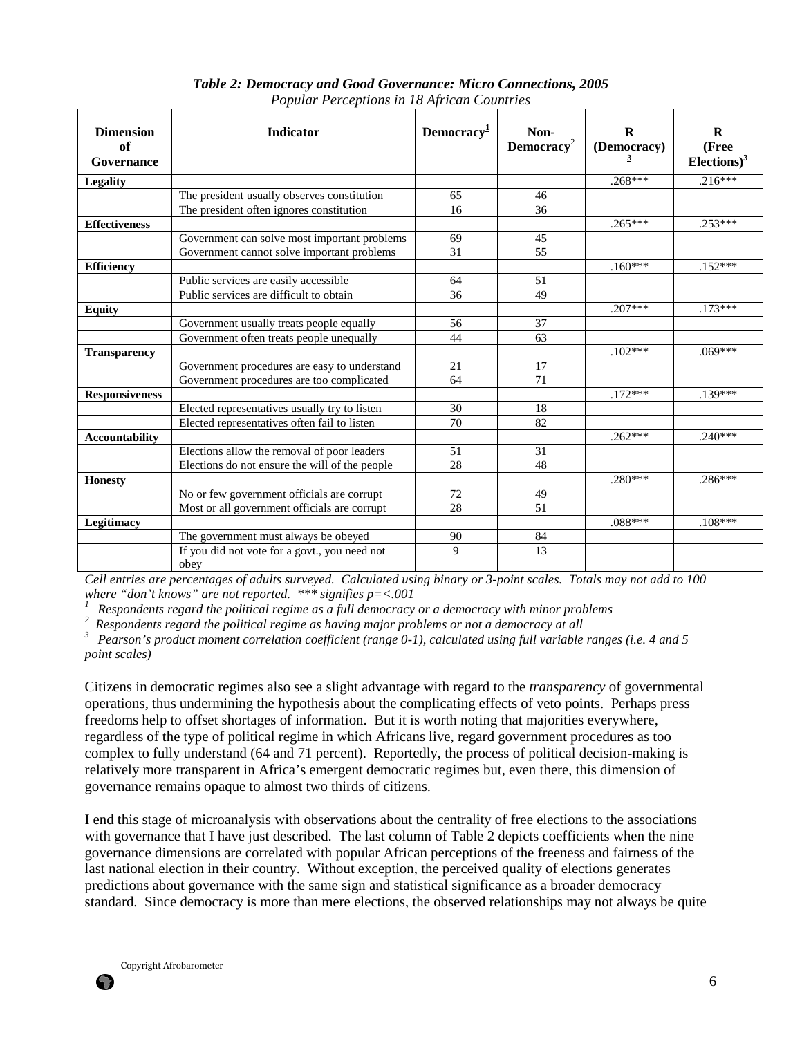| <b>Dimension</b><br>of<br>Governance | <b>Indicator</b>                                      | Democracy <sup>1</sup> | Non-<br>Democracy <sup>2</sup> | R<br>(Democracy) | $\bf{R}$<br>(Free<br>$Elections$ <sup>3</sup> |
|--------------------------------------|-------------------------------------------------------|------------------------|--------------------------------|------------------|-----------------------------------------------|
| <b>Legality</b>                      |                                                       |                        |                                | $.268***$        | $.216***$                                     |
|                                      | The president usually observes constitution           | 65                     | 46                             |                  |                                               |
|                                      | The president often ignores constitution              | 16                     | 36                             |                  |                                               |
| <b>Effectiveness</b>                 |                                                       |                        |                                | $.265***$        | $.253***$                                     |
|                                      | Government can solve most important problems          | 69                     | 45                             |                  |                                               |
|                                      | Government cannot solve important problems            | 31                     | 55                             |                  |                                               |
| <b>Efficiency</b>                    |                                                       |                        |                                | $.160***$        | $.152***$                                     |
|                                      | Public services are easily accessible                 | 64                     | 51                             |                  |                                               |
|                                      | Public services are difficult to obtain               | 36                     | 49                             |                  |                                               |
| <b>Equity</b>                        |                                                       |                        |                                | $.207***$        | $.173***$                                     |
|                                      | Government usually treats people equally              | 56                     | 37                             |                  |                                               |
|                                      | Government often treats people unequally              | 44                     | 63                             |                  |                                               |
| <b>Transparency</b>                  |                                                       |                        |                                | $.102***$        | $.069***$                                     |
|                                      | Government procedures are easy to understand          | 21                     | 17                             |                  |                                               |
|                                      | Government procedures are too complicated             | 64                     | 71                             |                  |                                               |
| <b>Responsiveness</b>                |                                                       |                        |                                | $.172***$        | $.139***$                                     |
|                                      | Elected representatives usually try to listen         | 30                     | 18                             |                  |                                               |
|                                      | Elected representatives often fail to listen          | 70                     | 82                             |                  |                                               |
| <b>Accountability</b>                |                                                       |                        |                                | $.262***$        | $.240***$                                     |
|                                      | Elections allow the removal of poor leaders           | 51                     | 31                             |                  |                                               |
|                                      | Elections do not ensure the will of the people        | 28                     | 48                             |                  |                                               |
| <b>Honesty</b>                       |                                                       |                        |                                | $.280***$        | $.286***$                                     |
|                                      | No or few government officials are corrupt            | 72                     | 49                             |                  |                                               |
|                                      | Most or all government officials are corrupt          | 28                     | 51                             |                  |                                               |
| Legitimacy                           |                                                       |                        |                                | $.088***$        | $.108***$                                     |
|                                      | The government must always be obeyed                  | 90                     | 84                             |                  |                                               |
|                                      | If you did not vote for a govt., you need not<br>obey | $\overline{9}$         | 13                             |                  |                                               |

# *Table 2: Democracy and Good Governance: Micro Connections, 2005 Popular Perceptions in 18 African Countries*

*Cell entries are percentages of adults surveyed. Calculated using binary or 3-point scales. Totals may not add to 100 where "don't knows" are not reported. \*\*\* signifies p=<.001* 

<sup>1</sup> Respondents regard the political regime as a full democracy or a democracy with minor problems <sup>2</sup>

*<sup>2</sup>Respondents regard the political regime as having major problems or not a democracy at all* 

*<sup>3</sup>Pearson's product moment correlation coefficient (range 0-1), calculated using full variable ranges (i.e. 4 and 5 point scales)* 

Citizens in democratic regimes also see a slight advantage with regard to the *transparency* of governmental operations, thus undermining the hypothesis about the complicating effects of veto points. Perhaps press freedoms help to offset shortages of information. But it is worth noting that majorities everywhere, regardless of the type of political regime in which Africans live, regard government procedures as too complex to fully understand (64 and 71 percent). Reportedly, the process of political decision-making is relatively more transparent in Africa's emergent democratic regimes but, even there, this dimension of governance remains opaque to almost two thirds of citizens.

I end this stage of microanalysis with observations about the centrality of free elections to the associations with governance that I have just described. The last column of Table 2 depicts coefficients when the nine governance dimensions are correlated with popular African perceptions of the freeness and fairness of the last national election in their country. Without exception, the perceived quality of elections generates predictions about governance with the same sign and statistical significance as a broader democracy standard. Since democracy is more than mere elections, the observed relationships may not always be quite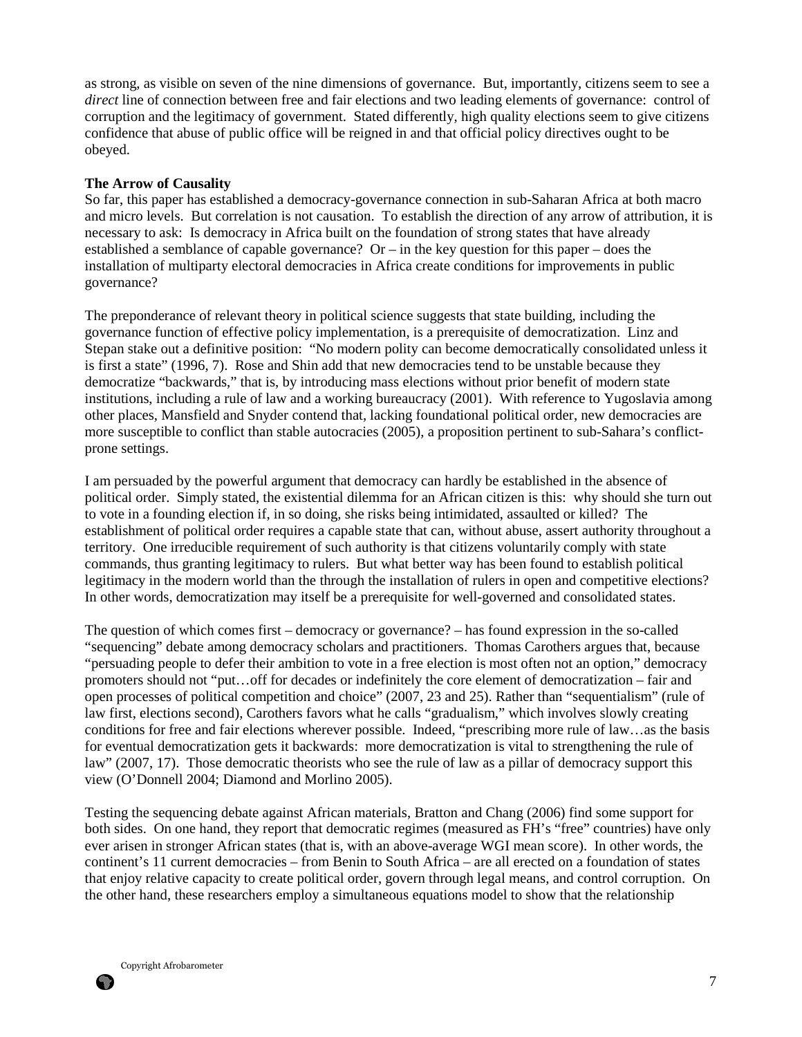as strong, as visible on seven of the nine dimensions of governance. But, importantly, citizens seem to see a *direct* line of connection between free and fair elections and two leading elements of governance: control of corruption and the legitimacy of government. Stated differently, high quality elections seem to give citizens confidence that abuse of public office will be reigned in and that official policy directives ought to be obeyed.

### **The Arrow of Causality**

So far, this paper has established a democracy-governance connection in sub-Saharan Africa at both macro and micro levels. But correlation is not causation. To establish the direction of any arrow of attribution, it is necessary to ask: Is democracy in Africa built on the foundation of strong states that have already established a semblance of capable governance? Or  $-$  in the key question for this paper  $-$  does the installation of multiparty electoral democracies in Africa create conditions for improvements in public governance?

The preponderance of relevant theory in political science suggests that state building, including the governance function of effective policy implementation, is a prerequisite of democratization. Linz and Stepan stake out a definitive position: "No modern polity can become democratically consolidated unless it is first a state" (1996, 7). Rose and Shin add that new democracies tend to be unstable because they democratize "backwards," that is, by introducing mass elections without prior benefit of modern state institutions, including a rule of law and a working bureaucracy (2001). With reference to Yugoslavia among other places, Mansfield and Snyder contend that, lacking foundational political order, new democracies are more susceptible to conflict than stable autocracies (2005), a proposition pertinent to sub-Sahara's conflictprone settings.

I am persuaded by the powerful argument that democracy can hardly be established in the absence of political order. Simply stated, the existential dilemma for an African citizen is this: why should she turn out to vote in a founding election if, in so doing, she risks being intimidated, assaulted or killed? The establishment of political order requires a capable state that can, without abuse, assert authority throughout a territory. One irreducible requirement of such authority is that citizens voluntarily comply with state commands, thus granting legitimacy to rulers. But what better way has been found to establish political legitimacy in the modern world than the through the installation of rulers in open and competitive elections? In other words, democratization may itself be a prerequisite for well-governed and consolidated states.

The question of which comes first – democracy or governance? – has found expression in the so-called "sequencing" debate among democracy scholars and practitioners. Thomas Carothers argues that, because "persuading people to defer their ambition to vote in a free election is most often not an option," democracy promoters should not "put…off for decades or indefinitely the core element of democratization – fair and open processes of political competition and choice" (2007, 23 and 25). Rather than "sequentialism" (rule of law first, elections second), Carothers favors what he calls "gradualism," which involves slowly creating conditions for free and fair elections wherever possible. Indeed, "prescribing more rule of law…as the basis for eventual democratization gets it backwards: more democratization is vital to strengthening the rule of law" (2007, 17). Those democratic theorists who see the rule of law as a pillar of democracy support this view (O'Donnell 2004; Diamond and Morlino 2005).

Testing the sequencing debate against African materials, Bratton and Chang (2006) find some support for both sides. On one hand, they report that democratic regimes (measured as FH's "free" countries) have only ever arisen in stronger African states (that is, with an above-average WGI mean score). In other words, the continent's 11 current democracies – from Benin to South Africa – are all erected on a foundation of states that enjoy relative capacity to create political order, govern through legal means, and control corruption. On the other hand, these researchers employ a simultaneous equations model to show that the relationship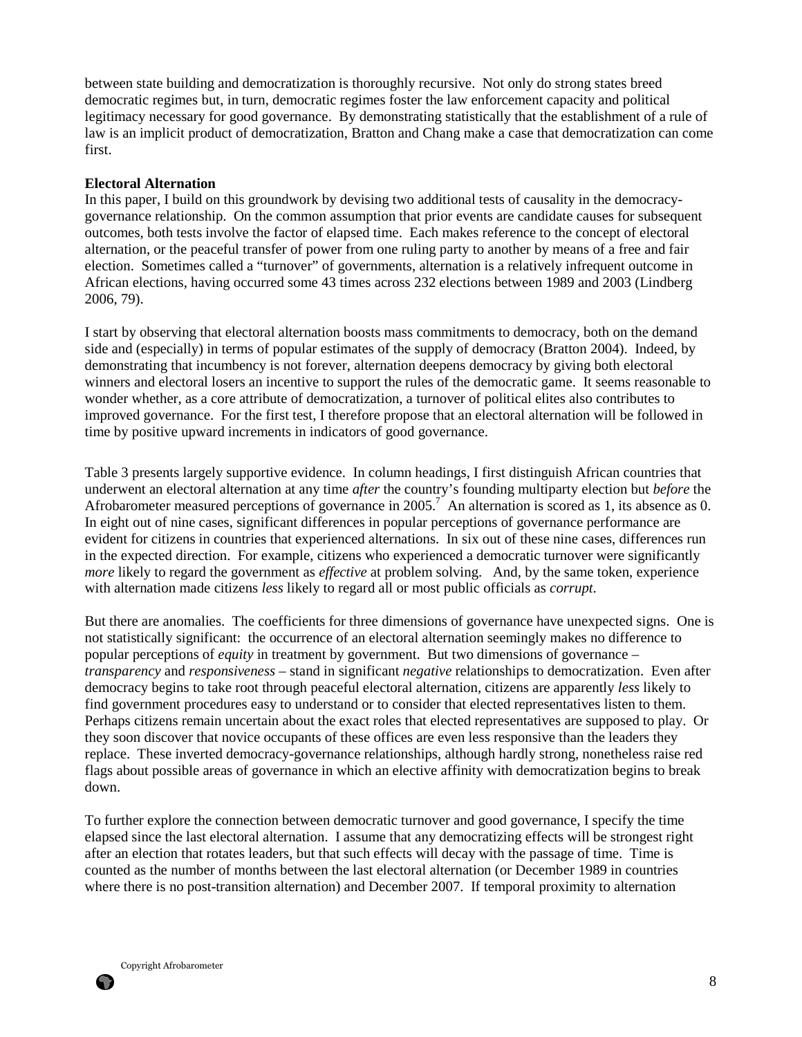between state building and democratization is thoroughly recursive. Not only do strong states breed democratic regimes but, in turn, democratic regimes foster the law enforcement capacity and political legitimacy necessary for good governance. By demonstrating statistically that the establishment of a rule of law is an implicit product of democratization, Bratton and Chang make a case that democratization can come first.

### **Electoral Alternation**

In this paper, I build on this groundwork by devising two additional tests of causality in the democracygovernance relationship. On the common assumption that prior events are candidate causes for subsequent outcomes, both tests involve the factor of elapsed time. Each makes reference to the concept of electoral alternation, or the peaceful transfer of power from one ruling party to another by means of a free and fair election. Sometimes called a "turnover" of governments, alternation is a relatively infrequent outcome in African elections, having occurred some 43 times across 232 elections between 1989 and 2003 (Lindberg 2006, 79).

I start by observing that electoral alternation boosts mass commitments to democracy, both on the demand side and (especially) in terms of popular estimates of the supply of democracy (Bratton 2004). Indeed, by demonstrating that incumbency is not forever, alternation deepens democracy by giving both electoral winners and electoral losers an incentive to support the rules of the democratic game. It seems reasonable to wonder whether, as a core attribute of democratization, a turnover of political elites also contributes to improved governance. For the first test, I therefore propose that an electoral alternation will be followed in time by positive upward increments in indicators of good governance.

Table 3 presents largely supportive evidence. In column headings, I first distinguish African countries that underwent an electoral alternation at any time *after* the country's founding multiparty election but *before* the Afrobarometer measured perceptions of governance in  $2005$ .<sup>7</sup> An alternation is scored as 1, its absence as 0. In eight out of nine cases, significant differences in popular perceptions of governance performance are evident for citizens in countries that experienced alternations. In six out of these nine cases, differences run in the expected direction. For example, citizens who experienced a democratic turnover were significantly *more* likely to regard the government as *effective* at problem solving. And, by the same token, experience with alternation made citizens *less* likely to regard all or most public officials as *corrupt*.

But there are anomalies. The coefficients for three dimensions of governance have unexpected signs. One is not statistically significant: the occurrence of an electoral alternation seemingly makes no difference to popular perceptions of *equity* in treatment by government. But two dimensions of governance – *transparency* and *responsiveness* – stand in significant *negative* relationships to democratization. Even after democracy begins to take root through peaceful electoral alternation, citizens are apparently *less* likely to find government procedures easy to understand or to consider that elected representatives listen to them. Perhaps citizens remain uncertain about the exact roles that elected representatives are supposed to play. Or they soon discover that novice occupants of these offices are even less responsive than the leaders they replace. These inverted democracy-governance relationships, although hardly strong, nonetheless raise red flags about possible areas of governance in which an elective affinity with democratization begins to break down.

To further explore the connection between democratic turnover and good governance, I specify the time elapsed since the last electoral alternation. I assume that any democratizing effects will be strongest right after an election that rotates leaders, but that such effects will decay with the passage of time. Time is counted as the number of months between the last electoral alternation (or December 1989 in countries where there is no post-transition alternation) and December 2007. If temporal proximity to alternation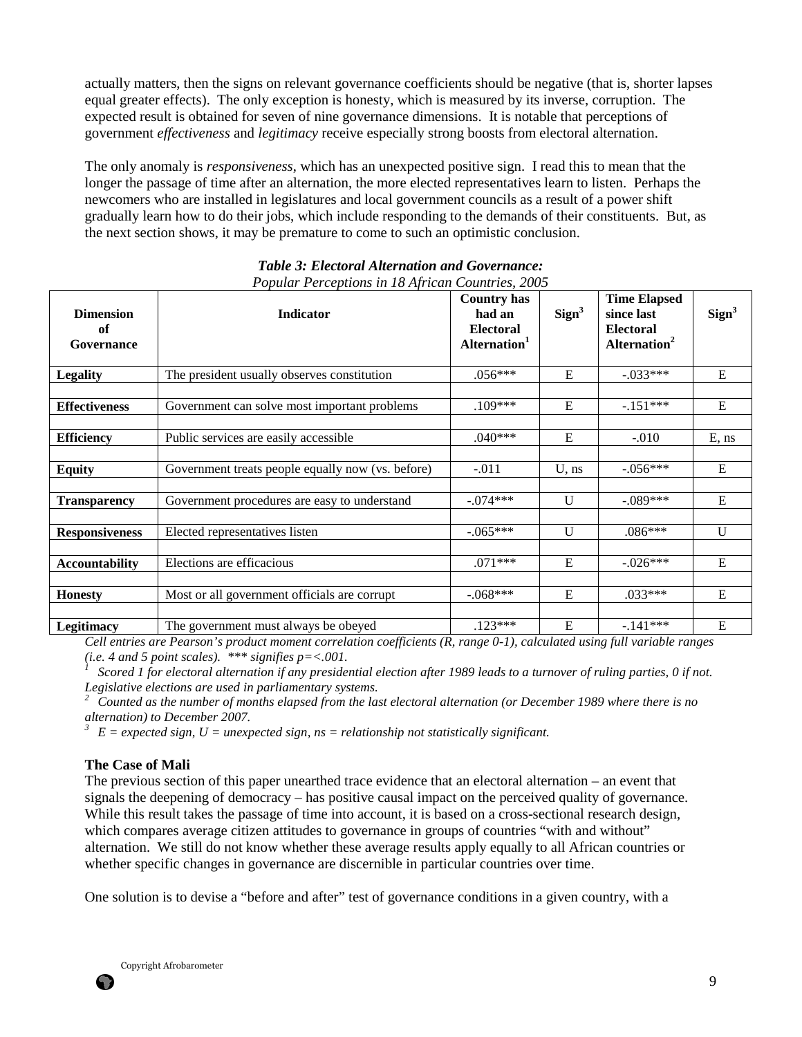actually matters, then the signs on relevant governance coefficients should be negative (that is, shorter lapses equal greater effects). The only exception is honesty, which is measured by its inverse, corruption. The expected result is obtained for seven of nine governance dimensions. It is notable that perceptions of government *effectiveness* and *legitimacy* receive especially strong boosts from electoral alternation.

The only anomaly is *responsiveness*, which has an unexpected positive sign. I read this to mean that the longer the passage of time after an alternation, the more elected representatives learn to listen. Perhaps the newcomers who are installed in legislatures and local government councils as a result of a power shift gradually learn how to do their jobs, which include responding to the demands of their constituents. But, as the next section shows, it may be premature to come to such an optimistic conclusion.

| <b>Dimension</b><br>of<br>Governance | <b>Indicator</b>                                  | <b>Country has</b><br>had an<br><b>Electoral</b><br>Alternation <sup>1</sup> | Sign <sup>3</sup> | <b>Time Elapsed</b><br>since last<br><b>Electoral</b><br>Alternation <sup>2</sup> | Sign <sup>3</sup> |
|--------------------------------------|---------------------------------------------------|------------------------------------------------------------------------------|-------------------|-----------------------------------------------------------------------------------|-------------------|
| <b>Legality</b>                      | The president usually observes constitution       | $.056***$                                                                    | E                 | $-033***$                                                                         | E                 |
| <b>Effectiveness</b>                 | Government can solve most important problems      | $.109***$                                                                    | E                 | $-.151***$                                                                        | ${\bf E}$         |
| <b>Efficiency</b>                    | Public services are easily accessible             | $.040***$                                                                    | E                 | $-.010$                                                                           | $E$ , ns          |
|                                      |                                                   |                                                                              |                   |                                                                                   |                   |
| <b>Equity</b>                        | Government treats people equally now (vs. before) | $-.011$                                                                      | $U$ , ns          | $-.056***$                                                                        | E                 |
| <b>Transparency</b>                  | Government procedures are easy to understand      | $-.074***$                                                                   | U                 | $-089***$                                                                         | $\overline{E}$    |
| <b>Responsiveness</b>                | Elected representatives listen                    | $-.065***$                                                                   | U                 | $.086***$                                                                         | U                 |
| <b>Accountability</b>                | Elections are efficacious                         | $.071***$                                                                    | E                 | $-.026***$                                                                        | E                 |
| <b>Honesty</b>                       | Most or all government officials are corrupt      | $-.068***$                                                                   | ${\bf E}$         | $.033***$                                                                         | ${\bf E}$         |
| <b>Legitimacy</b>                    | The government must always be obeyed              | $.123***$                                                                    | ${\bf E}$         | $-.141***$                                                                        | ${\bf E}$         |

# *Table 3: Electoral Alternation and Governance: Popular Perceptions in 18 African Countries, 2005*

*Cell entries are Pearson's product moment correlation coefficients (R, range 0-1), calculated using full variable ranges (i.e. 4 and 5 point scales).* \*\*\* *signifies p* =  $<$ *.001.* 

*<sup>1</sup>Scored 1 for electoral alternation if any presidential election after 1989 leads to a turnover of ruling parties, 0 if not. Legislative elections are used in parliamentary systems.* 

*<sup>2</sup>Counted as the number of months elapsed from the last electoral alternation (or December 1989 where there is no alternation) to December 2007.* 

 $E = expected$  sign,  $U =$  unexpected sign,  $ns =$  relationship not statistically significant.

## **The Case of Mali**

The previous section of this paper unearthed trace evidence that an electoral alternation – an event that signals the deepening of democracy – has positive causal impact on the perceived quality of governance. While this result takes the passage of time into account, it is based on a cross-sectional research design, which compares average citizen attitudes to governance in groups of countries "with and without" alternation. We still do not know whether these average results apply equally to all African countries or whether specific changes in governance are discernible in particular countries over time.

One solution is to devise a "before and after" test of governance conditions in a given country, with a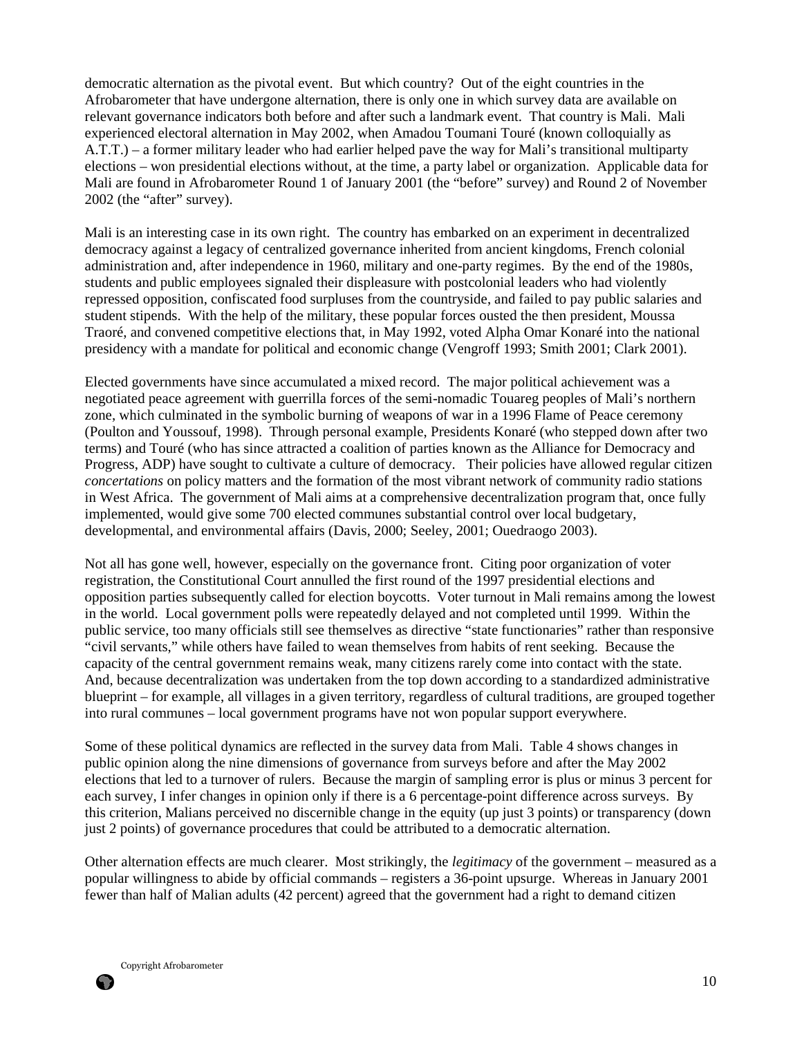democratic alternation as the pivotal event. But which country? Out of the eight countries in the Afrobarometer that have undergone alternation, there is only one in which survey data are available on relevant governance indicators both before and after such a landmark event. That country is Mali. Mali experienced electoral alternation in May 2002, when Amadou Toumani Touré (known colloquially as A.T.T.) – a former military leader who had earlier helped pave the way for Mali's transitional multiparty elections – won presidential elections without, at the time, a party label or organization. Applicable data for Mali are found in Afrobarometer Round 1 of January 2001 (the "before" survey) and Round 2 of November 2002 (the "after" survey).

Mali is an interesting case in its own right. The country has embarked on an experiment in decentralized democracy against a legacy of centralized governance inherited from ancient kingdoms, French colonial administration and, after independence in 1960, military and one-party regimes. By the end of the 1980s, students and public employees signaled their displeasure with postcolonial leaders who had violently repressed opposition, confiscated food surpluses from the countryside, and failed to pay public salaries and student stipends. With the help of the military, these popular forces ousted the then president, Moussa Traoré, and convened competitive elections that, in May 1992, voted Alpha Omar Konaré into the national presidency with a mandate for political and economic change (Vengroff 1993; Smith 2001; Clark 2001).

Elected governments have since accumulated a mixed record. The major political achievement was a negotiated peace agreement with guerrilla forces of the semi-nomadic Touareg peoples of Mali's northern zone, which culminated in the symbolic burning of weapons of war in a 1996 Flame of Peace ceremony (Poulton and Youssouf, 1998). Through personal example, Presidents Konaré (who stepped down after two terms) and Touré (who has since attracted a coalition of parties known as the Alliance for Democracy and Progress, ADP) have sought to cultivate a culture of democracy. Their policies have allowed regular citizen *concertations* on policy matters and the formation of the most vibrant network of community radio stations in West Africa. The government of Mali aims at a comprehensive decentralization program that, once fully implemented, would give some 700 elected communes substantial control over local budgetary, developmental, and environmental affairs (Davis, 2000; Seeley, 2001; Ouedraogo 2003).

Not all has gone well, however, especially on the governance front. Citing poor organization of voter registration, the Constitutional Court annulled the first round of the 1997 presidential elections and opposition parties subsequently called for election boycotts. Voter turnout in Mali remains among the lowest in the world. Local government polls were repeatedly delayed and not completed until 1999. Within the public service, too many officials still see themselves as directive "state functionaries" rather than responsive "civil servants," while others have failed to wean themselves from habits of rent seeking. Because the capacity of the central government remains weak, many citizens rarely come into contact with the state. And, because decentralization was undertaken from the top down according to a standardized administrative blueprint – for example, all villages in a given territory, regardless of cultural traditions, are grouped together into rural communes – local government programs have not won popular support everywhere.

Some of these political dynamics are reflected in the survey data from Mali. Table 4 shows changes in public opinion along the nine dimensions of governance from surveys before and after the May 2002 elections that led to a turnover of rulers. Because the margin of sampling error is plus or minus 3 percent for each survey, I infer changes in opinion only if there is a 6 percentage-point difference across surveys. By this criterion, Malians perceived no discernible change in the equity (up just 3 points) or transparency (down just 2 points) of governance procedures that could be attributed to a democratic alternation.

Other alternation effects are much clearer. Most strikingly, the *legitimacy* of the government – measured as a popular willingness to abide by official commands – registers a 36-point upsurge. Whereas in January 2001 fewer than half of Malian adults (42 percent) agreed that the government had a right to demand citizen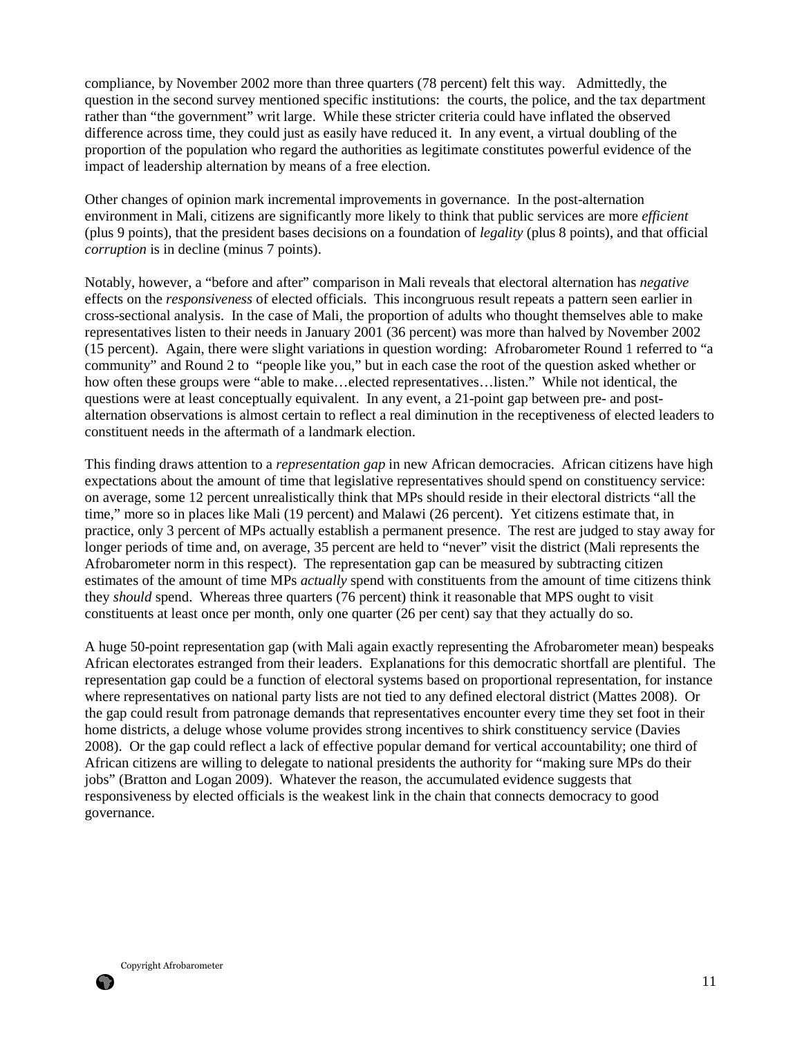compliance, by November 2002 more than three quarters (78 percent) felt this way. Admittedly, the question in the second survey mentioned specific institutions: the courts, the police, and the tax department rather than "the government" writ large. While these stricter criteria could have inflated the observed difference across time, they could just as easily have reduced it. In any event, a virtual doubling of the proportion of the population who regard the authorities as legitimate constitutes powerful evidence of the impact of leadership alternation by means of a free election.

Other changes of opinion mark incremental improvements in governance. In the post-alternation environment in Mali, citizens are significantly more likely to think that public services are more *efficient*  (plus 9 points), that the president bases decisions on a foundation of *legality* (plus 8 points), and that official *corruption* is in decline (minus 7 points).

Notably, however, a "before and after" comparison in Mali reveals that electoral alternation has *negative* effects on the *responsiveness* of elected officials. This incongruous result repeats a pattern seen earlier in cross-sectional analysis. In the case of Mali, the proportion of adults who thought themselves able to make representatives listen to their needs in January 2001 (36 percent) was more than halved by November 2002 (15 percent). Again, there were slight variations in question wording: Afrobarometer Round 1 referred to "a community" and Round 2 to "people like you," but in each case the root of the question asked whether or how often these groups were "able to make…elected representatives…listen." While not identical, the questions were at least conceptually equivalent. In any event, a 21-point gap between pre- and postalternation observations is almost certain to reflect a real diminution in the receptiveness of elected leaders to constituent needs in the aftermath of a landmark election.

This finding draws attention to a *representation gap* in new African democracies. African citizens have high expectations about the amount of time that legislative representatives should spend on constituency service: on average, some 12 percent unrealistically think that MPs should reside in their electoral districts "all the time," more so in places like Mali (19 percent) and Malawi (26 percent). Yet citizens estimate that, in practice, only 3 percent of MPs actually establish a permanent presence. The rest are judged to stay away for longer periods of time and, on average, 35 percent are held to "never" visit the district (Mali represents the Afrobarometer norm in this respect). The representation gap can be measured by subtracting citizen estimates of the amount of time MPs *actually* spend with constituents from the amount of time citizens think they *should* spend. Whereas three quarters (76 percent) think it reasonable that MPS ought to visit constituents at least once per month, only one quarter (26 per cent) say that they actually do so.

A huge 50-point representation gap (with Mali again exactly representing the Afrobarometer mean) bespeaks African electorates estranged from their leaders. Explanations for this democratic shortfall are plentiful. The representation gap could be a function of electoral systems based on proportional representation, for instance where representatives on national party lists are not tied to any defined electoral district (Mattes 2008). Or the gap could result from patronage demands that representatives encounter every time they set foot in their home districts, a deluge whose volume provides strong incentives to shirk constituency service (Davies 2008). Or the gap could reflect a lack of effective popular demand for vertical accountability; one third of African citizens are willing to delegate to national presidents the authority for "making sure MPs do their jobs" (Bratton and Logan 2009). Whatever the reason, the accumulated evidence suggests that responsiveness by elected officials is the weakest link in the chain that connects democracy to good governance.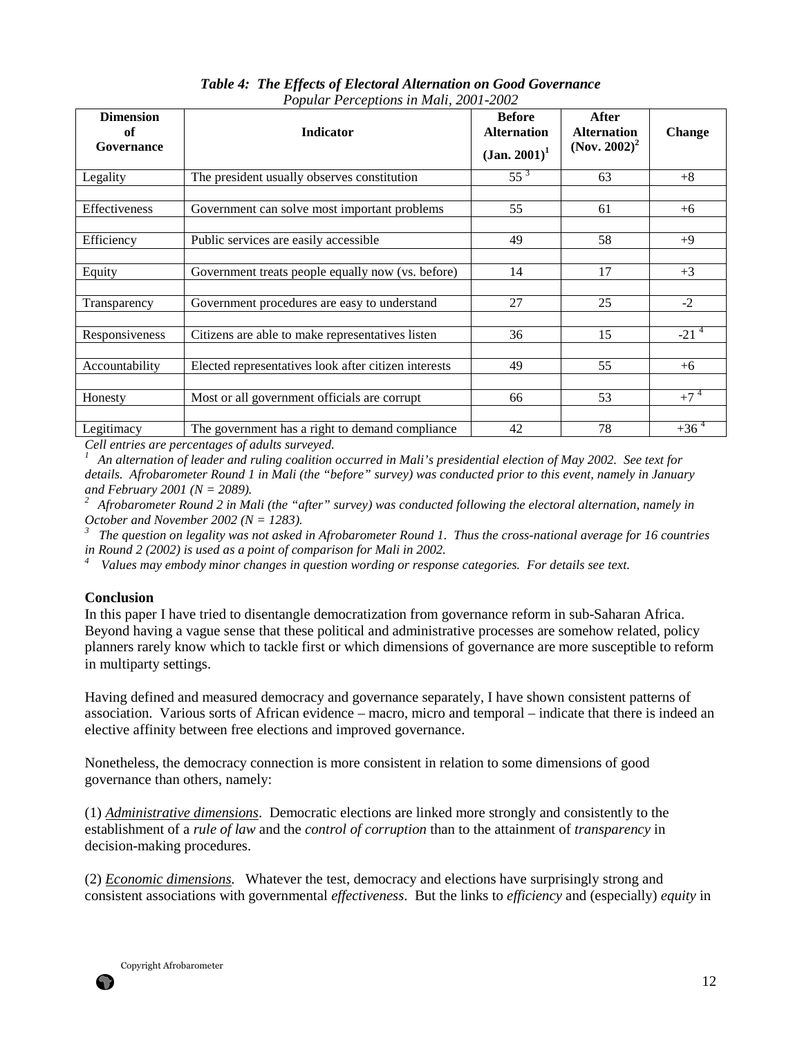| <b>Dimension</b><br>of<br>Governance | Indicator                                            | <b>Before</b><br><b>Alternation</b><br>$(Jan. 2001)^1$ | After<br><b>Alternation</b><br>(Nov. 2002) <sup>2</sup> | Change    |
|--------------------------------------|------------------------------------------------------|--------------------------------------------------------|---------------------------------------------------------|-----------|
| Legality                             | The president usually observes constitution          | $55^{3}$                                               | 63                                                      | $+8$      |
| Effectiveness                        | Government can solve most important problems         | 55                                                     | 61                                                      | $+6$      |
| Efficiency                           | Public services are easily accessible                | 49                                                     | 58                                                      | $+9$      |
| Equity                               | Government treats people equally now (vs. before)    | 14                                                     | 17                                                      | $+3$      |
| Transparency                         | Government procedures are easy to understand         | 27                                                     | 25                                                      | $-2$      |
| Responsiveness                       | Citizens are able to make representatives listen     | 36                                                     | 15                                                      | $-21^{4}$ |
| Accountability                       | Elected representatives look after citizen interests | 49                                                     | 55                                                      | $+6$      |
| Honesty                              | Most or all government officials are corrupt         | 66                                                     | 53                                                      | $+7^4$    |
| Legitimacy                           | The government has a right to demand compliance      | 42                                                     | 78                                                      | $+36^{4}$ |

*Table 4: The Effects of Electoral Alternation on Good Governance Popular Perceptions in Mali, 2001-2002* 

*Cell entries are percentages of adults surveyed.* 

*<sup>1</sup>An alternation of leader and ruling coalition occurred in Mali's presidential election of May 2002. See text for details. Afrobarometer Round 1 in Mali (the "before" survey) was conducted prior to this event, namely in January and February 2001 (N = 2089).* 

*<sup>2</sup>Afrobarometer Round 2 in Mali (the "after" survey) was conducted following the electoral alternation, namely in October and November 2002 (N = 1283).* 

*3 The question on legality was not asked in Afrobarometer Round 1. Thus the cross-national average for 16 countries in Round 2 (2002) is used as a point of comparison for Mali in 2002.* 

*<sup>4</sup>Values may embody minor changes in question wording or response categories. For details see text.* 

#### **Conclusion**

In this paper I have tried to disentangle democratization from governance reform in sub-Saharan Africa. Beyond having a vague sense that these political and administrative processes are somehow related, policy planners rarely know which to tackle first or which dimensions of governance are more susceptible to reform in multiparty settings.

Having defined and measured democracy and governance separately, I have shown consistent patterns of association. Various sorts of African evidence – macro, micro and temporal – indicate that there is indeed an elective affinity between free elections and improved governance.

Nonetheless, the democracy connection is more consistent in relation to some dimensions of good governance than others, namely:

(1) *Administrative dimensions*. Democratic elections are linked more strongly and consistently to the establishment of a *rule of law* and the *control of corruption* than to the attainment of *transparency* in decision-making procedures.

(2) *Economic dimensions.* Whatever the test, democracy and elections have surprisingly strong and consistent associations with governmental *effectiveness*. But the links to *efficiency* and (especially) *equity* in



67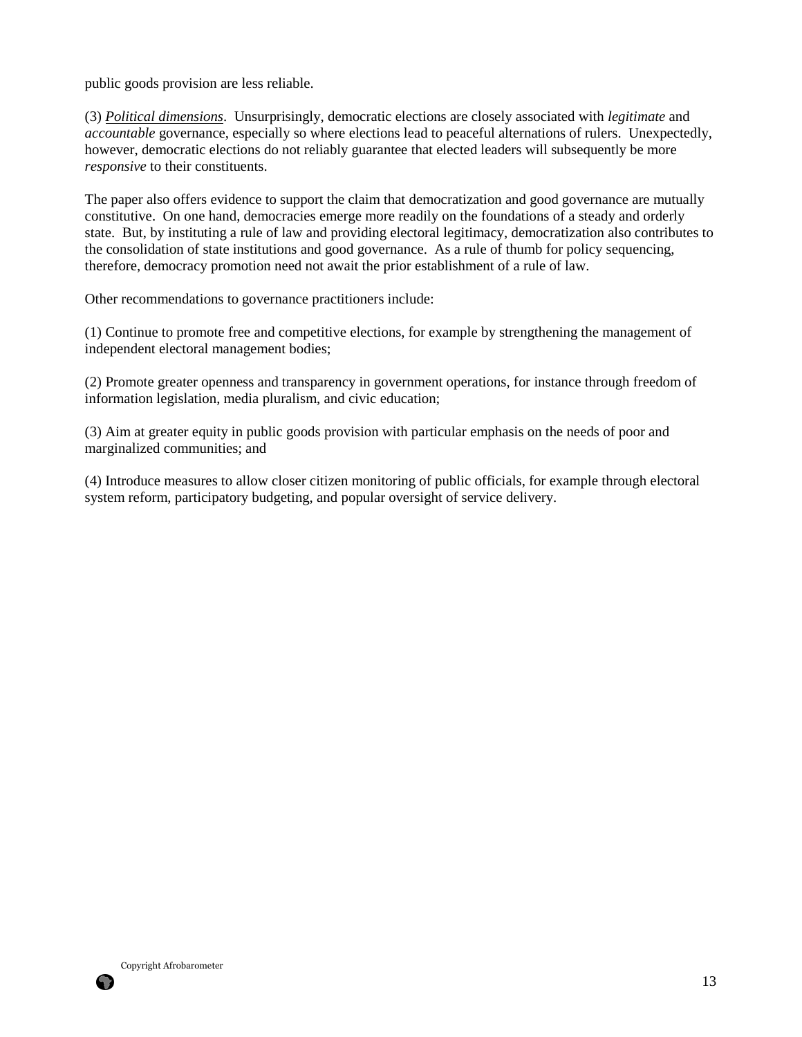public goods provision are less reliable.

(3) *Political dimensions*. Unsurprisingly, democratic elections are closely associated with *legitimate* and *accountable* governance, especially so where elections lead to peaceful alternations of rulers. Unexpectedly, however, democratic elections do not reliably guarantee that elected leaders will subsequently be more *responsive* to their constituents.

The paper also offers evidence to support the claim that democratization and good governance are mutually constitutive. On one hand, democracies emerge more readily on the foundations of a steady and orderly state. But, by instituting a rule of law and providing electoral legitimacy, democratization also contributes to the consolidation of state institutions and good governance. As a rule of thumb for policy sequencing, therefore, democracy promotion need not await the prior establishment of a rule of law.

Other recommendations to governance practitioners include:

(1) Continue to promote free and competitive elections, for example by strengthening the management of independent electoral management bodies;

(2) Promote greater openness and transparency in government operations, for instance through freedom of information legislation, media pluralism, and civic education;

(3) Aim at greater equity in public goods provision with particular emphasis on the needs of poor and marginalized communities; and

(4) Introduce measures to allow closer citizen monitoring of public officials, for example through electoral system reform, participatory budgeting, and popular oversight of service delivery.

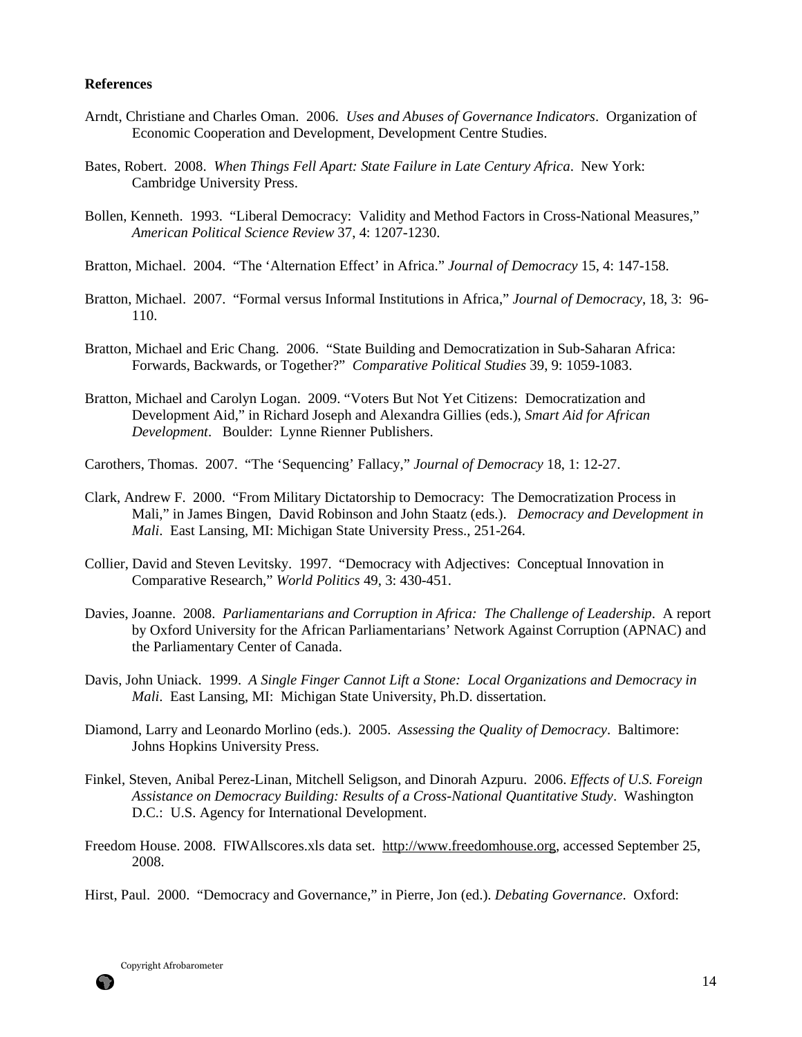#### **References**

- Arndt, Christiane and Charles Oman. 2006. *Uses and Abuses of Governance Indicators*. Organization of Economic Cooperation and Development, Development Centre Studies.
- Bates, Robert. 2008. *When Things Fell Apart: State Failure in Late Century Africa*. New York: Cambridge University Press.
- Bollen, Kenneth. 1993. "Liberal Democracy: Validity and Method Factors in Cross-National Measures," *American Political Science Review* 37, 4: 1207-1230.
- Bratton, Michael. 2004. "The 'Alternation Effect' in Africa." *Journal of Democracy* 15, 4: 147-158.
- Bratton, Michael. 2007. "Formal versus Informal Institutions in Africa," *Journal of Democracy*, 18, 3: 96- 110.
- Bratton, Michael and Eric Chang. 2006. "State Building and Democratization in Sub-Saharan Africa: Forwards, Backwards, or Together?" *Comparative Political Studies* 39, 9: 1059-1083.
- Bratton, Michael and Carolyn Logan. 2009. "Voters But Not Yet Citizens: Democratization and Development Aid," in Richard Joseph and Alexandra Gillies (eds.), *Smart Aid for African Development*. Boulder: Lynne Rienner Publishers.
- Carothers, Thomas. 2007. "The 'Sequencing' Fallacy," *Journal of Democracy* 18, 1: 12-27.
- Clark, Andrew F. 2000. "From Military Dictatorship to Democracy: The Democratization Process in Mali," in James Bingen, David Robinson and John Staatz (eds.). *Democracy and Development in Mali*. East Lansing, MI: Michigan State University Press., 251-264.
- Collier, David and Steven Levitsky. 1997. "Democracy with Adjectives: Conceptual Innovation in Comparative Research," *World Politics* 49, 3: 430-451.
- Davies, Joanne. 2008. *Parliamentarians and Corruption in Africa: The Challenge of Leadership*. A report by Oxford University for the African Parliamentarians' Network Against Corruption (APNAC) and the Parliamentary Center of Canada.
- Davis, John Uniack. 1999. *A Single Finger Cannot Lift a Stone: Local Organizations and Democracy in Mali*. East Lansing, MI: Michigan State University, Ph.D. dissertation.
- Diamond, Larry and Leonardo Morlino (eds.). 2005. *Assessing the Quality of Democracy*. Baltimore: Johns Hopkins University Press.
- Finkel, Steven, Anibal Perez-Linan, Mitchell Seligson, and Dinorah Azpuru. 2006. *Effects of U.S. Foreign Assistance on Democracy Building: Results of a Cross-National Quantitative Study*. Washington D.C.: U.S. Agency for International Development.
- Freedom House. 2008. FIWAllscores.xls data set. http://www.freedomhouse.org, accessed September 25, 2008.
- Hirst, Paul. 2000. "Democracy and Governance," in Pierre, Jon (ed.). *Debating Governance*. Oxford:

6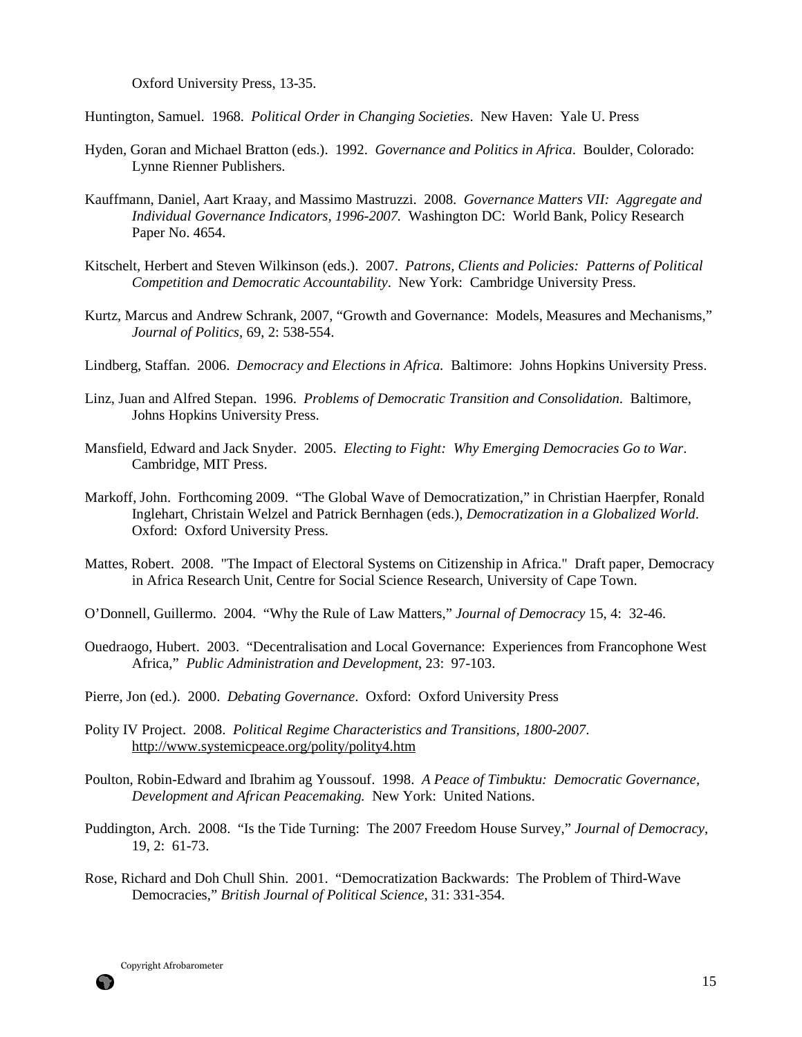Oxford University Press, 13-35.

Huntington, Samuel. 1968. *Political Order in Changing Societies*. New Haven: Yale U. Press

- Hyden, Goran and Michael Bratton (eds.). 1992. *Governance and Politics in Africa*. Boulder, Colorado: Lynne Rienner Publishers.
- Kauffmann, Daniel, Aart Kraay, and Massimo Mastruzzi. 2008. *Governance Matters VII: Aggregate and Individual Governance Indicators, 1996-2007.* Washington DC: World Bank, Policy Research Paper No. 4654.
- Kitschelt, Herbert and Steven Wilkinson (eds.). 2007. *Patrons, Clients and Policies: Patterns of Political Competition and Democratic Accountability*. New York: Cambridge University Press.
- Kurtz, Marcus and Andrew Schrank, 2007, "Growth and Governance: Models, Measures and Mechanisms," *Journal of Politics*, 69, 2: 538-554.
- Lindberg, Staffan. 2006. *Democracy and Elections in Africa.* Baltimore: Johns Hopkins University Press.
- Linz, Juan and Alfred Stepan. 1996. *Problems of Democratic Transition and Consolidation*. Baltimore, Johns Hopkins University Press.
- Mansfield, Edward and Jack Snyder. 2005. *Electing to Fight: Why Emerging Democracies Go to War*. Cambridge, MIT Press.
- Markoff, John. Forthcoming 2009. "The Global Wave of Democratization," in Christian Haerpfer, Ronald Inglehart, Christain Welzel and Patrick Bernhagen (eds.), *Democratization in a Globalized World*. Oxford: Oxford University Press.
- Mattes, Robert. 2008. "The Impact of Electoral Systems on Citizenship in Africa." Draft paper, Democracy in Africa Research Unit, Centre for Social Science Research, University of Cape Town.
- O'Donnell, Guillermo. 2004. "Why the Rule of Law Matters," *Journal of Democracy* 15, 4: 32-46.
- Ouedraogo, Hubert. 2003. "Decentralisation and Local Governance: Experiences from Francophone West Africa," *Public Administration and Development*, 23: 97-103.
- Pierre, Jon (ed.). 2000. *Debating Governance*. Oxford: Oxford University Press
- Polity IV Project. 2008. *Political Regime Characteristics and Transitions, 1800-2007*. http://www.systemicpeace.org/polity/polity4.htm
- Poulton, Robin-Edward and Ibrahim ag Youssouf. 1998. *A Peace of Timbuktu: Democratic Governance, Development and African Peacemaking.* New York: United Nations.
- Puddington, Arch. 2008. "Is the Tide Turning: The 2007 Freedom House Survey," *Journal of Democracy*, 19, 2: 61-73.
- Rose, Richard and Doh Chull Shin. 2001. "Democratization Backwards: The Problem of Third-Wave Democracies," *British Journal of Political Science*, 31: 331-354.



6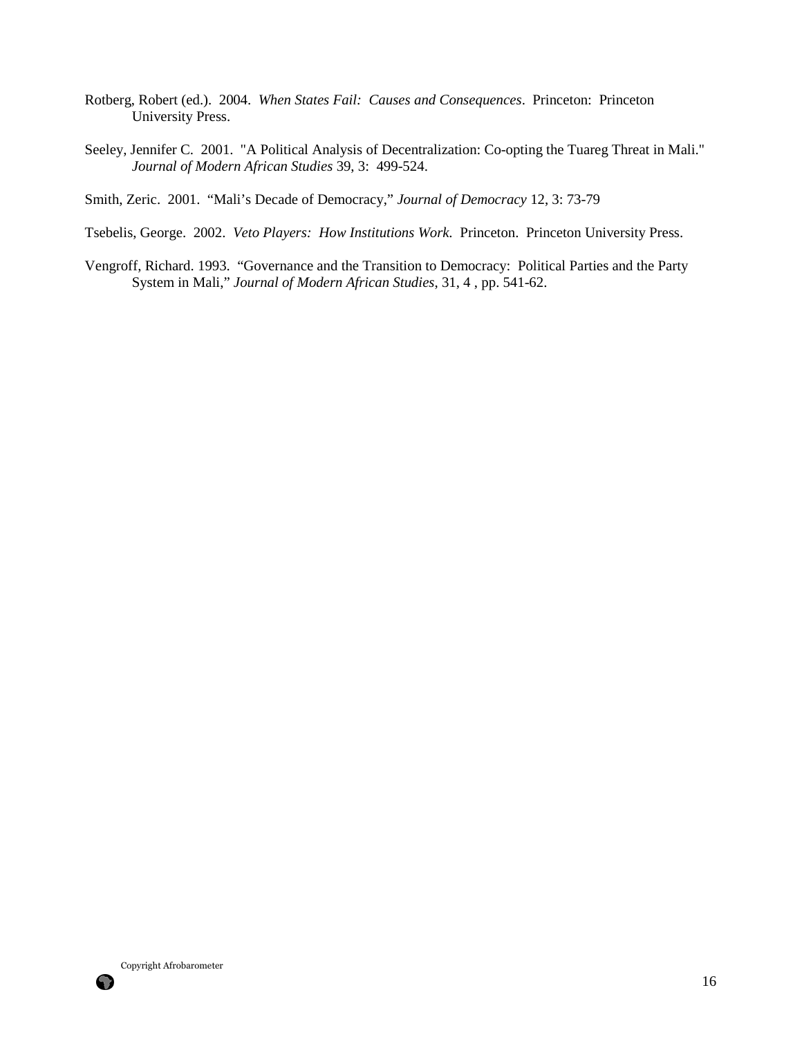- Rotberg, Robert (ed.). 2004. *When States Fail: Causes and Consequences*. Princeton: Princeton University Press.
- Seeley, Jennifer C. 2001. "A Political Analysis of Decentralization: Co-opting the Tuareg Threat in Mali." *Journal of Modern African Studies* 39, 3: 499-524.

Smith, Zeric. 2001. "Mali's Decade of Democracy," *Journal of Democracy* 12, 3: 73-79

Tsebelis, George. 2002. *Veto Players: How Institutions Work.* Princeton. Princeton University Press.

Vengroff, Richard. 1993. "Governance and the Transition to Democracy: Political Parties and the Party System in Mali," *Journal of Modern African Studies*, 31, 4 , pp. 541-62.

Copyright Afrobarometer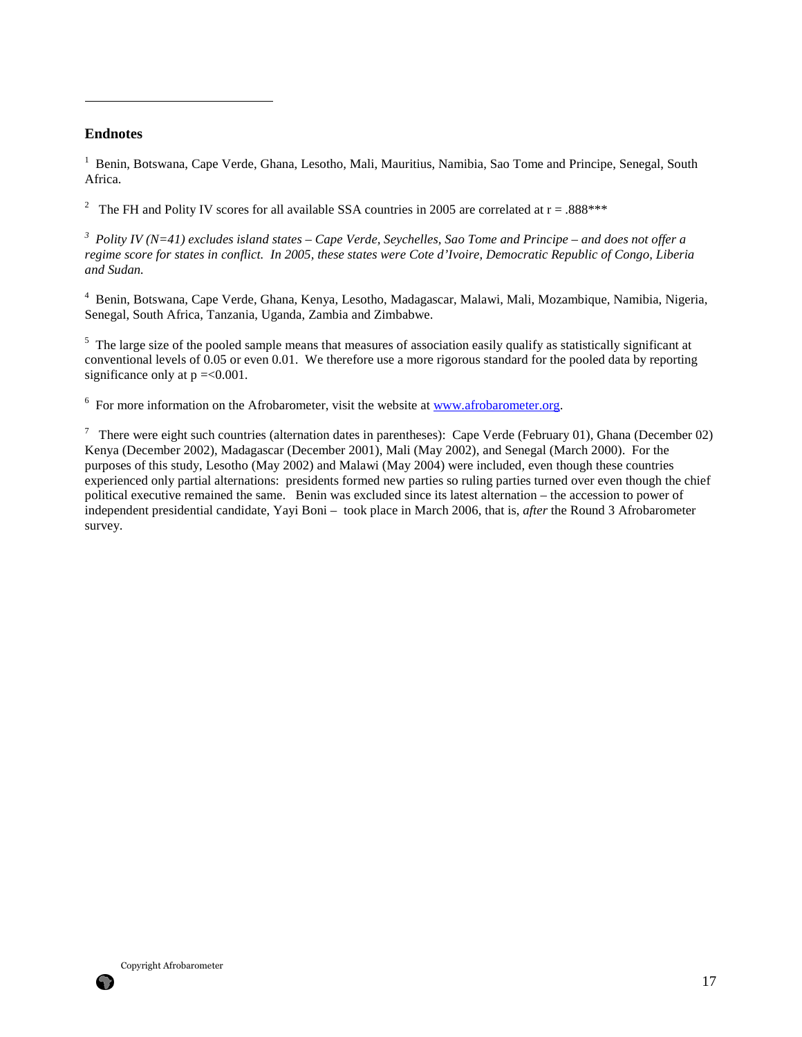### **Endnotes**

 $\overline{a}$ 

<sup>1</sup> Benin, Botswana, Cape Verde, Ghana, Lesotho, Mali, Mauritius, Namibia, Sao Tome and Principe, Senegal, South Africa.

<sup>2</sup> The FH and Polity IV scores for all available SSA countries in 2005 are correlated at  $r = .888$ \*\*\*

*3 Polity IV (N=41) excludes island states – Cape Verde, Seychelles, Sao Tome and Principe – and does not offer a regime score for states in conflict. In 2005, these states were Cote d'Ivoire, Democratic Republic of Congo, Liberia and Sudan.* 

4 Benin, Botswana, Cape Verde, Ghana, Kenya, Lesotho, Madagascar, Malawi, Mali, Mozambique, Namibia, Nigeria, Senegal, South Africa, Tanzania, Uganda, Zambia and Zimbabwe.

<sup>5</sup> The large size of the pooled sample means that measures of association easily qualify as statistically significant at conventional levels of 0.05 or even 0.01. We therefore use a more rigorous standard for the pooled data by reporting significance only at  $p = 0.001$ .

 $6$  For more information on the Afrobarometer, visit the website at  $www.afrobarometer.org$ .

<sup>7</sup> There were eight such countries (alternation dates in parentheses): Cape Verde (February 01), Ghana (December 02) Kenya (December 2002), Madagascar (December 2001), Mali (May 2002), and Senegal (March 2000). For the purposes of this study, Lesotho (May 2002) and Malawi (May 2004) were included, even though these countries experienced only partial alternations: presidents formed new parties so ruling parties turned over even though the chief political executive remained the same. Benin was excluded since its latest alternation – the accession to power of independent presidential candidate, Yayi Boni – took place in March 2006, that is, *after* the Round 3 Afrobarometer survey.